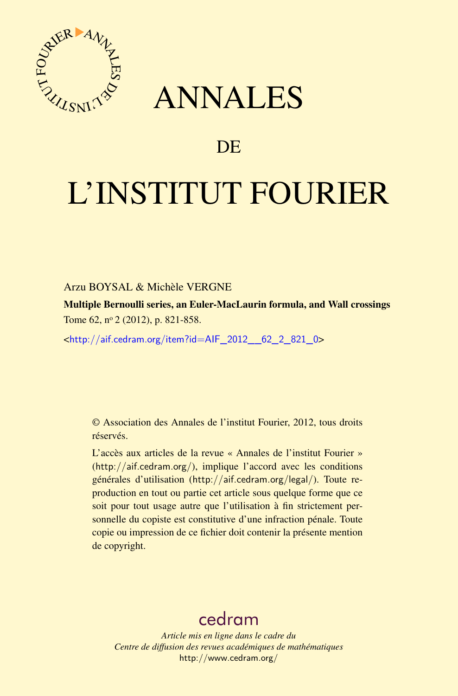

## ANNALES

## **DE**

# L'INSTITUT FOURIER

#### Arzu BOYSAL & Michèle VERGNE

Multiple Bernoulli series, an Euler-MacLaurin formula, and Wall crossings Tome 62, nº 2 (2012), p. 821-858.

 $\text{chttp:}/\text{/aif.cedram.org/item?id=AlF}$  2012 62 2 821 0>

© Association des Annales de l'institut Fourier, 2012, tous droits réservés.

L'accès aux articles de la revue « Annales de l'institut Fourier » (<http://aif.cedram.org/>), implique l'accord avec les conditions générales d'utilisation (<http://aif.cedram.org/legal/>). Toute reproduction en tout ou partie cet article sous quelque forme que ce soit pour tout usage autre que l'utilisation à fin strictement personnelle du copiste est constitutive d'une infraction pénale. Toute copie ou impression de ce fichier doit contenir la présente mention de copyright.

## [cedram](http://www.cedram.org/)

*Article mis en ligne dans le cadre du Centre de diffusion des revues académiques de mathématiques* <http://www.cedram.org/>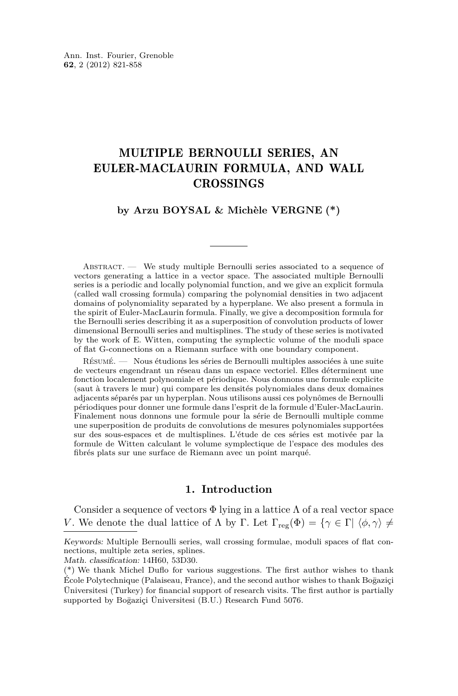### MULTIPLE BERNOULLI SERIES, AN EULER-MACLAURIN FORMULA, AND WALL CROSSINGS

#### **by Arzu BOYSAL & Michèle VERGNE (\*)**

ABSTRACT. — We study multiple Bernoulli series associated to a sequence of vectors generating a lattice in a vector space. The associated multiple Bernoulli series is a periodic and locally polynomial function, and we give an explicit formula (called wall crossing formula) comparing the polynomial densities in two adjacent domains of polynomiality separated by a hyperplane. We also present a formula in the spirit of Euler-MacLaurin formula. Finally, we give a decomposition formula for the Bernoulli series describing it as a superposition of convolution products of lower dimensional Bernoulli series and multisplines. The study of these series is motivated by the work of E. Witten, computing the symplectic volume of the moduli space of flat G-connections on a Riemann surface with one boundary component.

Résumé. — Nous étudions les séries de Bernoulli multiples associées à une suite de vecteurs engendrant un réseau dans un espace vectoriel. Elles déterminent une fonction localement polynomiale et périodique. Nous donnons une formule explicite (saut à travers le mur) qui compare les densités polynomiales dans deux domaines adjacents séparés par un hyperplan. Nous utilisons aussi ces polynômes de Bernoulli périodiques pour donner une formule dans l'esprit de la formule d'Euler-MacLaurin. Finalement nous donnons une formule pour la série de Bernoulli multiple comme une superposition de produits de convolutions de mesures polynomiales supportées sur des sous-espaces et de multisplines. L'étude de ces séries est motivée par la formule de Witten calculant le volume symplectique de l'espace des modules des fibrés plats sur une surface de Riemann avec un point marqué.

#### **1. Introduction**

Consider a sequence of vectors  $\Phi$  lying in a lattice  $\Lambda$  of a real vector space *V*. We denote the dual lattice of  $\Lambda$  by  $\Gamma$ . Let  $\Gamma_{\text{reg}}(\Phi) = {\gamma \in \Gamma | \langle \phi, \gamma \rangle \neq \Gamma}$ 

Keywords: Multiple Bernoulli series, wall crossing formulae, moduli spaces of flat connections, multiple zeta series, splines.

Math. classification: 14H60, 53D30.

<sup>(\*)</sup> We thank Michel Duflo for various suggestions. The first author wishes to thank École Polytechnique (Palaiseau, France), and the second author wishes to thank Bogaziçi Üniversitesi (Turkey) for financial support of research visits. The first author is partially supported by Bogaziçi Üniversitesi (B.U.) Research Fund 5076.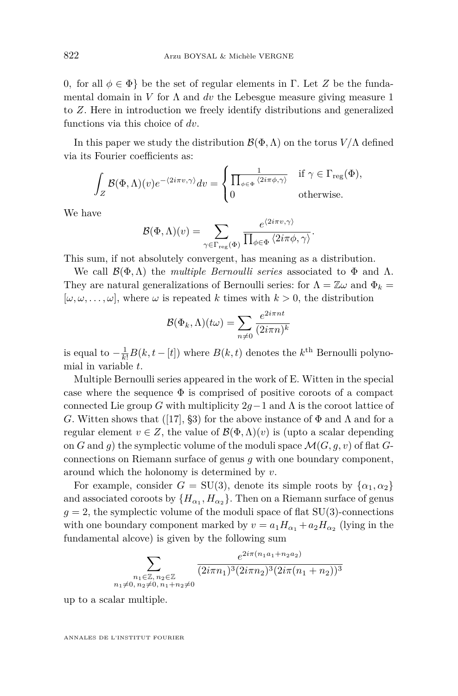0*,* for all *φ* ∈ Φ} be the set of regular elements in Γ. Let *Z* be the fundamental domain in *V* for  $\Lambda$  and *dv* the Lebesgue measure giving measure 1 to *Z*. Here in introduction we freely identify distributions and generalized functions via this choice of *dv*.

In this paper we study the distribution  $\mathcal{B}(\Phi,\Lambda)$  on the torus  $V/\Lambda$  defined via its Fourier coefficients as:

$$
\int_{Z} \mathcal{B}(\Phi,\Lambda)(v)e^{-\langle 2i\pi v,\gamma\rangle}dv = \begin{cases} \frac{1}{\prod_{\phi\in\Phi}\langle 2i\pi\phi,\gamma\rangle} & \text{if } \gamma \in \Gamma_{\text{reg}}(\Phi),\\ 0 & \text{otherwise.} \end{cases}
$$

We have

$$
\mathcal{B}(\Phi,\Lambda)(v) = \sum_{\gamma \in \Gamma_{\text{reg}}(\Phi)} \frac{e^{\langle 2i\pi v,\gamma \rangle}}{\prod_{\phi \in \Phi} \langle 2i\pi \phi, \gamma \rangle}.
$$

This sum, if not absolutely convergent, has meaning as a distribution.

We call  $\mathcal{B}(\Phi,\Lambda)$  the *multiple Bernoulli series* associated to  $\Phi$  and  $\Lambda$ . They are natural generalizations of Bernoulli series: for  $\Lambda = \mathbb{Z}\omega$  and  $\Phi_k =$  $[\omega, \omega, \dots, \omega]$ , where  $\omega$  is repeated *k* times with  $k > 0$ , the distribution

$$
\mathcal{B}(\Phi_k, \Lambda)(t\omega) = \sum_{n \neq 0} \frac{e^{2i\pi nt}}{(2i\pi n)^k}
$$

is equal to  $-\frac{1}{k!}B(k, t - [t])$  where  $B(k, t)$  denotes the  $k^{\text{th}}$  Bernoulli polynomial in variable *t*.

Multiple Bernoulli series appeared in the work of E. Witten in the special case where the sequence  $\Phi$  is comprised of positive coroots of a compact connected Lie group *G* with multiplicity  $2g-1$  and  $\Lambda$  is the coroot lattice of *G*. Witten shows that ([\[17\]](#page-38-0), §3) for the above instance of  $\Phi$  and  $\Lambda$  and for a regular element  $v \in Z$ , the value of  $\mathcal{B}(\Phi,\Lambda)(v)$  is (upto a scalar depending on *G* and *g*) the symplectic volume of the moduli space  $\mathcal{M}(G, g, v)$  of flat *G*connections on Riemann surface of genus *g* with one boundary component, around which the holonomy is determined by *v*.

For example, consider  $G = SU(3)$ , denote its simple roots by  $\{\alpha_1, \alpha_2\}$ and associated coroots by  $\{H_{\alpha_1}, H_{\alpha_2}\}.$  Then on a Riemann surface of genus  $g = 2$ , the symplectic volume of the moduli space of flat SU(3)-connections with one boundary component marked by  $v = a_1 H_{\alpha_1} + a_2 H_{\alpha_2}$  (lying in the fundamental alcove) is given by the following sum

$$
\sum_{\substack{n_1 \in \mathbb{Z}, n_2 \in \mathbb{Z} \\ n_1 \neq 0, n_2 \neq 0, n_1 + n_2 \neq 0}} \frac{e^{2i\pi(n_1 a_1 + n_2 a_2)}}{(2i\pi n_1)^3 (2i\pi n_2)^3 (2i\pi (n_1 + n_2))^3}
$$

up to a scalar multiple.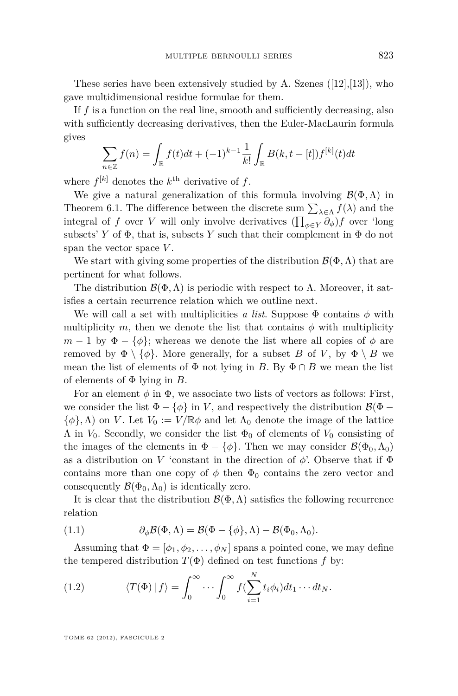<span id="page-3-0"></span>These series have been extensively studied by A. Szenes  $([12],[13])$  $([12],[13])$  $([12],[13])$  $([12],[13])$  $([12],[13])$ , who gave multidimensional residue formulae for them.

If *f* is a function on the real line, smooth and sufficiently decreasing, also with sufficiently decreasing derivatives, then the Euler-MacLaurin formula gives

$$
\sum_{n \in \mathbb{Z}} f(n) = \int_{\mathbb{R}} f(t)dt + (-1)^{k-1} \frac{1}{k!} \int_{\mathbb{R}} B(k, t - [t]) f^{[k]}(t) dt
$$

where  $f^{[k]}$  denotes the  $k^{\text{th}}$  derivative of  $f$ .

We give a natural generalization of this formula involving  $\mathcal{B}(\Phi,\Lambda)$  in Theorem [6.1.](#page-18-0) The difference between the discrete sum  $\sum_{\lambda \in \Lambda} f(\lambda)$  and the integral of *f* over *V* will only involve derivatives  $(\prod_{\phi \in Y} \partial_{\phi}) f$  over 'long subsets' *Y* of  $\Phi$ , that is, subsets *Y* such that their complement in  $\Phi$  do not span the vector space *V* .

We start with giving some properties of the distribution  $\mathcal{B}(\Phi,\Lambda)$  that are pertinent for what follows.

The distribution  $\mathcal{B}(\Phi,\Lambda)$  is periodic with respect to  $\Lambda$ . Moreover, it satisfies a certain recurrence relation which we outline next.

We will call a set with multiplicities *a list*. Suppose  $\Phi$  contains  $\phi$  with multiplicity  $m$ , then we denote the list that contains  $\phi$  with multiplicity  $m-1$  by  $\Phi - {\phi}$ ; whereas we denote the list where all copies of  $\phi$  are removed by  $\Phi \setminus {\phi}$ . More generally, for a subset *B* of *V*, by  $\Phi \setminus B$  we mean the list of elements of  $\Phi$  not lying in *B*. By  $\Phi \cap B$  we mean the list of elements of Φ lying in *B*.

For an element  $\phi$  in  $\Phi$ , we associate two lists of vectors as follows: First, we consider the list  $\Phi - \{\phi\}$  in *V*, and respectively the distribution  $\mathcal{B}(\Phi \{\phi\}, \Lambda$  on *V*. Let  $V_0 := V / \mathbb{R}\phi$  and let  $\Lambda_0$  denote the image of the lattice  $Λ$  in *V*<sub>0</sub>. Secondly, we consider the list  $Φ$ <sub>0</sub> of elements of *V*<sub>0</sub> consisting of the images of the elements in  $\Phi - \{\phi\}$ . Then we may consider  $\mathcal{B}(\Phi_0, \Lambda_0)$ as a distribution on *V* 'constant in the direction of  $\phi$ '. Observe that if  $\Phi$ contains more than one copy of  $\phi$  then  $\Phi_0$  contains the zero vector and consequently  $\mathcal{B}(\Phi_0, \Lambda_0)$  is identically zero.

It is clear that the distribution  $\mathcal{B}(\Phi,\Lambda)$  satisfies the following recurrence relation

(1.1) 
$$
\partial_{\phi} \mathcal{B}(\Phi, \Lambda) = \mathcal{B}(\Phi - \{\phi\}, \Lambda) - \mathcal{B}(\Phi_0, \Lambda_0).
$$

Assuming that  $\Phi = [\phi_1, \phi_2, \dots, \phi_N]$  spans a pointed cone, we may define the tempered distribution  $T(\Phi)$  defined on test functions f by:

(1.2) 
$$
\langle T(\Phi) | f \rangle = \int_0^\infty \cdots \int_0^\infty f(\sum_{i=1}^N t_i \phi_i) dt_1 \cdots dt_N.
$$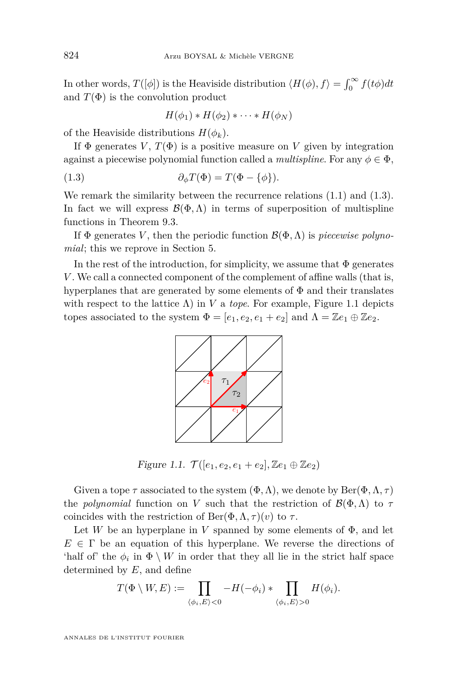In other words,  $T([\phi])$  is the Heaviside distribution  $\langle H(\phi), f \rangle = \int_0^\infty f(t\phi) dt$ and  $T(\Phi)$  is the convolution product

$$
H(\phi_1) * H(\phi_2) * \cdots * H(\phi_N)
$$

of the Heaviside distributions  $H(\phi_k)$ .

If  $\Phi$  generates *V*,  $T(\Phi)$  is a positive measure on *V* given by integration against a piecewise polynomial function called a *multispline*. For any  $\phi \in \Phi$ ,

(1.3) 
$$
\partial_{\phi} T(\Phi) = T(\Phi - \{\phi\}).
$$

We remark the similarity between the recurrence relations  $(1.1)$  and  $(1.3)$ . In fact we will express  $\mathcal{B}(\Phi,\Lambda)$  in terms of superposition of multispline functions in Theorem [9.3.](#page-32-0)

If  $\Phi$  generates *V*, then the periodic function  $\mathcal{B}(\Phi,\Lambda)$  is *piecewise polynomial*; this we reprove in Section [5.](#page-13-0)

In the rest of the introduction, for simplicity, we assume that  $\Phi$  generates *V* . We call a connected component of the complement of affine walls (that is, hyperplanes that are generated by some elements of  $\Phi$  and their translates with respect to the lattice  $\Lambda$ ) in *V* a *tope*. For example, Figure 1.1 depicts topes associated to the system  $\Phi = [e_1, e_2, e_1 + e_2]$  and  $\Lambda = \mathbb{Z}e_1 \oplus \mathbb{Z}e_2$ .



Figure 1.1.  $\mathcal{T}([e_1, e_2, e_1 + e_2], \mathbb{Z}e_1 \oplus \mathbb{Z}e_2)$ 

Given a tope  $\tau$  associated to the system  $(\Phi, \Lambda)$ , we denote by Ber $(\Phi, \Lambda, \tau)$ the *polynomial* function on *V* such that the restriction of  $\mathcal{B}(\Phi,\Lambda)$  to  $\tau$ coincides with the restriction of  $Ber(\Phi, \Lambda, \tau)(v)$  to  $\tau$ .

Let *W* be an hyperplane in *V* spanned by some elements of  $\Phi$ , and let  $E \in \Gamma$  be an equation of this hyperplane. We reverse the directions of 'half of' the  $\phi_i$  in  $\Phi \setminus W$  in order that they all lie in the strict half space determined by *E*, and define

$$
T(\Phi \setminus W, E) := \prod_{\langle \phi_i, E \rangle < 0} -H(-\phi_i) * \prod_{\langle \phi_i, E \rangle > 0} H(\phi_i).
$$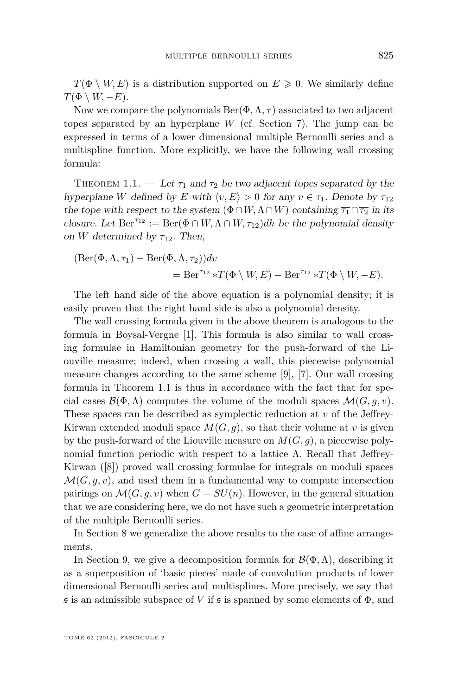$T(\Phi \setminus W, E)$  is a distribution supported on  $E \geq 0$ . We similarly define  $T(\Phi \setminus W, -E)$ .

Now we compare the polynomials  $\text{Ber}(\Phi, \Lambda, \tau)$  associated to two adjacent topes separated by an hyperplane *W* (cf. Section [7\)](#page-19-0). The jump can be expressed in terms of a lower dimensional multiple Bernoulli series and a multispline function. More explicitly, we have the following wall crossing formula:

THEOREM 1.1. — Let  $\tau_1$  and  $\tau_2$  be two adjacent topes separated by the hyperplane *W* defined by *E* with  $\langle v, E \rangle > 0$  for any  $v \in \tau_1$ . Denote by  $\tau_{12}$ the tope with respect to the system  $(\Phi \cap W, \Lambda \cap W)$  containing  $\overline{\tau_1} \cap \overline{\tau_2}$  in its closure. Let  $\text{Ber}^{\tau_{12}} := \text{Ber}(\Phi \cap W, \Lambda \cap W, \tau_{12})$ *dh* be the polynomial density on *W* determined by  $\tau_{12}$ . Then,

$$
(\text{Ber}(\Phi,\Lambda,\tau_1) - \text{Ber}(\Phi,\Lambda,\tau_2))dv
$$
  
= Ber<sup>\tau\_{12}</sup> \*T( $\Phi \setminus W, E$ ) - Ber<sup>\tau\_{12</sup> \*T( $\Phi \setminus W, -E$ ).

The left hand side of the above equation is a polynomial density; it is easily proven that the right hand side is also a polynomial density.

The wall crossing formula given in the above theorem is analogous to the formula in Boysal-Vergne [\[1\]](#page-37-0). This formula is also similar to wall crossing formulae in Hamiltonian geometry for the push-forward of the Liouville measure; indeed, when crossing a wall, this piecewise polynomial measure changes according to the same scheme [\[9\]](#page-37-0), [\[7\]](#page-37-0). Our wall crossing formula in Theorem 1.1 is thus in accordance with the fact that for special cases  $\mathcal{B}(\Phi,\Lambda)$  computes the volume of the moduli spaces  $\mathcal{M}(G,q,v)$ . These spaces can be described as symplectic reduction at *v* of the Jeffrey-Kirwan extended moduli space  $M(G, g)$ , so that their volume at *v* is given by the push-forward of the Liouville measure on  $M(G, g)$ , a piecewise polynomial function periodic with respect to a lattice Λ. Recall that Jeffrey-Kirwan ([\[8\]](#page-37-0)) proved wall crossing formulae for integrals on moduli spaces  $\mathcal{M}(G, g, v)$ , and used them in a fundamental way to compute intersection pairings on  $\mathcal{M}(G, q, v)$  when  $G = SU(n)$ . However, in the general situation that we are considering here, we do not have such a geometric interpretation of the multiple Bernoulli series.

In Section [8](#page-24-0) we generalize the above results to the case of affine arrangements.

In Section [9,](#page-30-0) we give a decomposition formula for  $\mathcal{B}(\Phi,\Lambda)$ , describing it as a superposition of 'basic pieces' made of convolution products of lower dimensional Bernoulli series and multisplines. More precisely, we say that  $\mathfrak s$  is an admissible subspace of *V* if  $\mathfrak s$  is spanned by some elements of  $\Phi$ , and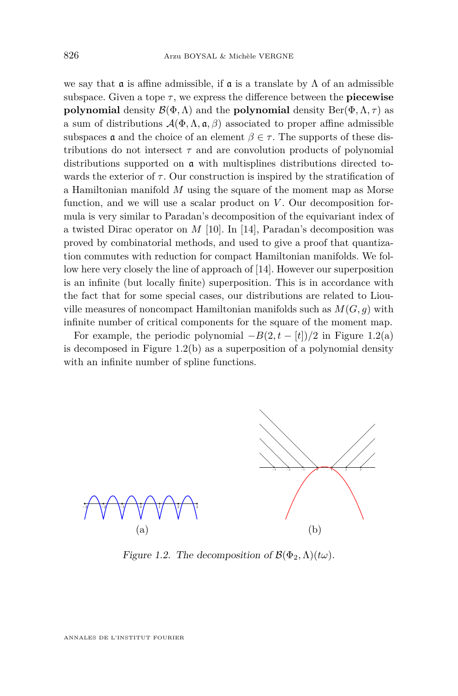we say that  $\alpha$  is affine admissible, if  $\alpha$  is a translate by  $\Lambda$  of an admissible subspace. Given a tope  $\tau$ , we express the difference between the **piecewise polynomial** density  $\mathcal{B}(\Phi,\Lambda)$  and the **polynomial** density  $\text{Ber}(\Phi,\Lambda,\tau)$  as a sum of distributions  $\mathcal{A}(\Phi,\Lambda,\mathfrak{a},\beta)$  associated to proper affine admissible subspaces  $\mathfrak a$  and the choice of an element  $\beta \in \tau$ . The supports of these distributions do not intersect  $\tau$  and are convolution products of polynomial distributions supported on a with multisplines distributions directed towards the exterior of  $\tau$ . Our construction is inspired by the stratification of a Hamiltonian manifold *M* using the square of the moment map as Morse function, and we will use a scalar product on *V*. Our decomposition formula is very similar to Paradan's decomposition of the equivariant index of a twisted Dirac operator on *M* [\[10\]](#page-37-0). In [\[14\]](#page-37-0), Paradan's decomposition was proved by combinatorial methods, and used to give a proof that quantization commutes with reduction for compact Hamiltonian manifolds. We follow here very closely the line of approach of [\[14\]](#page-37-0). However our superposition is an infinite (but locally finite) superposition. This is in accordance with the fact that for some special cases, our distributions are related to Liouville measures of noncompact Hamiltonian manifolds such as  $M(G, g)$  with infinite number of critical components for the square of the moment map.

For example, the periodic polynomial  $-B(2, t - [t])/2$  in Figure 1.2(a) is decomposed in Figure 1.2(b) as a superposition of a polynomial density with an infinite number of spline functions.



Figure 1.2. The decomposition of  $\mathcal{B}(\Phi_2, \Lambda)(t\omega)$ .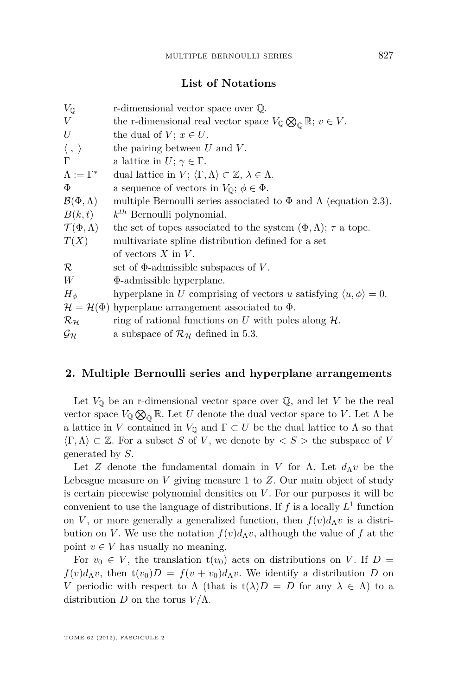#### **List of Notations**

| r-dimensional vector space over $\mathbb Q$ .                                                     |
|---------------------------------------------------------------------------------------------------|
| the r-dimensional real vector space $V_{\mathbb{Q}} \otimes_{\mathbb{Q}} \mathbb{R}; v \in V$ .   |
| the dual of $V$ ; $x \in U$ .                                                                     |
| the pairing between $U$ and $V$ .                                                                 |
| a lattice in $U; \gamma \in \Gamma$ .                                                             |
| dual lattice in $V$ ; $\langle \Gamma, \Lambda \rangle \subset \mathbb{Z}, \lambda \in \Lambda$ . |
| a sequence of vectors in $V_{\mathbb{Q}}$ ; $\phi \in \Phi$ .                                     |
| multiple Bernoulli series associated to $\Phi$ and $\Lambda$ (equation 2.3).                      |
| $k^{th}$ Bernoulli polynomial.                                                                    |
| the set of topes associated to the system $(\Phi, \Lambda)$ ; $\tau$ a tope.                      |
| multivariate spline distribution defined for a set                                                |
| of vectors $X$ in $V$ .                                                                           |
| set of $\Phi$ -admissible subspaces of V.                                                         |
| $\Phi$ -admissible hyperplane.                                                                    |
| hyperplane in U comprising of vectors u satisfying $\langle u, \phi \rangle = 0$ .                |
| $\mathcal{H} = \mathcal{H}(\Phi)$ hyperplane arrangement associated to $\Phi$ .                   |
| ring of rational functions on U with poles along $H$ .                                            |
| a subspace of $\mathcal{R}_{\mathcal{H}}$ defined in 5.3.                                         |
|                                                                                                   |

#### **2. Multiple Bernoulli series and hyperplane arrangements**

Let  $V_{\mathbb{Q}}$  be an r-dimensional vector space over  $\mathbb{Q}$ , and let *V* be the real vector space  $V_{\mathbb{Q}} \otimes_{\mathbb{Q}} \mathbb{R}$ . Let *U* denote the dual vector space to *V*. Let  $\Lambda$  be a lattice in *V* contained in  $V_{\mathbb{Q}}$  and  $\Gamma \subset U$  be the dual lattice to  $\Lambda$  so that  $\langle \Gamma, \Lambda \rangle \subset \mathbb{Z}$ . For a subset *S* of *V*, we denote by  $\langle S \rangle$  the subspace of *V* generated by *S*.

Let *Z* denote the fundamental domain in *V* for  $\Lambda$ . Let  $d_{\Lambda}v$  be the Lebesgue measure on *V* giving measure 1 to *Z*. Our main object of study is certain piecewise polynomial densities on *V* . For our purposes it will be convenient to use the language of distributions. If  $f$  is a locally  $L^1$  function on *V*, or more generally a generalized function, then  $f(v)d$ <sup>*N*</sup> is a distribution on *V*. We use the notation  $f(v)d$ <sup>N</sup>*v*, although the value of *f* at the point  $v \in V$  has usually no meaning.

For  $v_0 \in V$ , the translation  $t(v_0)$  acts on distributions on *V*. If  $D =$  $f(v)d$ <sup>*N*</sup>, then  $t(v_0)D = f(v+v_0)d$ <sup>*N*</sup>, We identify a distribution *D* on *V* periodic with respect to  $\Lambda$  (that is  $t(\lambda)D = D$  for any  $\lambda \in \Lambda$ ) to a distribution *D* on the torus  $V/\Lambda$ .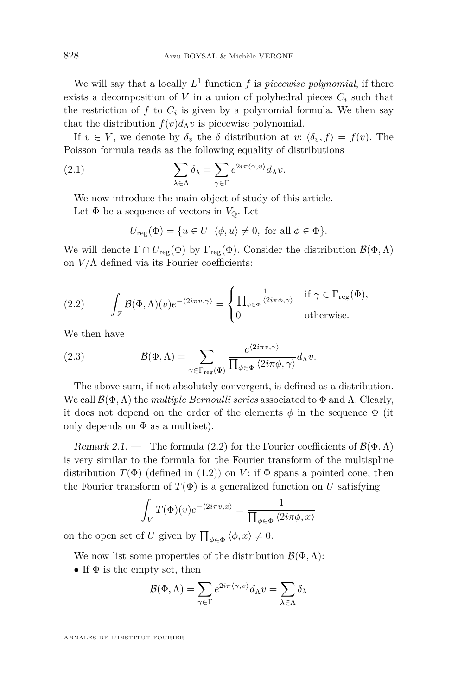<span id="page-8-0"></span>We will say that a locally  $L^1$  function  $f$  is *piecewise polynomial*, if there exists a decomposition of *V* in a union of polyhedral pieces  $C_i$  such that the restriction of  $f$  to  $C_i$  is given by a polynomial formula. We then say that the distribution  $f(v)d$ <sup>N</sup> is piecewise polynomial.

If  $v \in V$ , we denote by  $\delta_v$  the  $\delta$  distribution at  $v: \langle \delta_v, f \rangle = f(v)$ . The Poisson formula reads as the following equality of distributions

(2.1) 
$$
\sum_{\lambda \in \Lambda} \delta_{\lambda} = \sum_{\gamma \in \Gamma} e^{2i\pi \langle \gamma, v \rangle} d_{\Lambda} v.
$$

We now introduce the main object of study of this article. Let  $\Phi$  be a sequence of vectors in  $V_{\mathbb{Q}}$ . Let

$$
U_{\text{reg}}(\Phi) = \{ u \in U | \langle \phi, u \rangle \neq 0, \text{ for all } \phi \in \Phi \}.
$$

We will denote  $\Gamma \cap U_{\text{reg}}(\Phi)$  by  $\Gamma_{\text{reg}}(\Phi)$ . Consider the distribution  $\mathcal{B}(\Phi,\Lambda)$ on  $V/\Lambda$  defined via its Fourier coefficients:

(2.2) 
$$
\int_{Z} \mathcal{B}(\Phi,\Lambda)(v)e^{-\langle 2i\pi v,\gamma\rangle} = \begin{cases} \frac{1}{\prod_{\phi\in\Phi} \langle 2i\pi\phi,\gamma\rangle} & \text{if } \gamma \in \Gamma_{\text{reg}}(\Phi), \\ 0 & \text{otherwise.} \end{cases}
$$

We then have

(2.3) 
$$
\mathcal{B}(\Phi,\Lambda) = \sum_{\gamma \in \Gamma_{\text{reg}}(\Phi)} \frac{e^{\langle 2i\pi v,\gamma \rangle}}{\prod_{\phi \in \Phi} \langle 2i\pi \phi, \gamma \rangle} d_{\Lambda}v.
$$

The above sum, if not absolutely convergent, is defined as a distribution. We call  $\mathcal{B}(\Phi,\Lambda)$  the *multiple Bernoulli series* associated to  $\Phi$  and  $\Lambda$ . Clearly, it does not depend on the order of the elements  $\phi$  in the sequence  $\Phi$  (it only depends on  $\Phi$  as a multiset).

Remark 2.1. — The formula (2.2) for the Fourier coefficients of  $\mathcal{B}(\Phi,\Lambda)$ is very similar to the formula for the Fourier transform of the multispline distribution  $T(\Phi)$  (defined in [\(1.2\)](#page-3-0)) on *V*: if  $\Phi$  spans a pointed cone, then the Fourier transform of  $T(\Phi)$  is a generalized function on *U* satisfying

$$
\int_{V} T(\Phi)(v) e^{-\langle 2i\pi v, x \rangle} = \frac{1}{\prod_{\phi \in \Phi} \langle 2i\pi \phi, x \rangle}
$$

on the open set of *U* given by  $\prod_{\phi \in \Phi} \langle \phi, x \rangle \neq 0$ .

We now list some properties of the distribution  $\mathcal{B}(\Phi,\Lambda)$ :

• If  $\Phi$  is the empty set, then

$$
\mathcal{B}(\Phi,\Lambda) = \sum_{\gamma \in \Gamma} e^{2i\pi \langle \gamma,v \rangle} d_{\Lambda} v = \sum_{\lambda \in \Lambda} \delta_{\lambda}
$$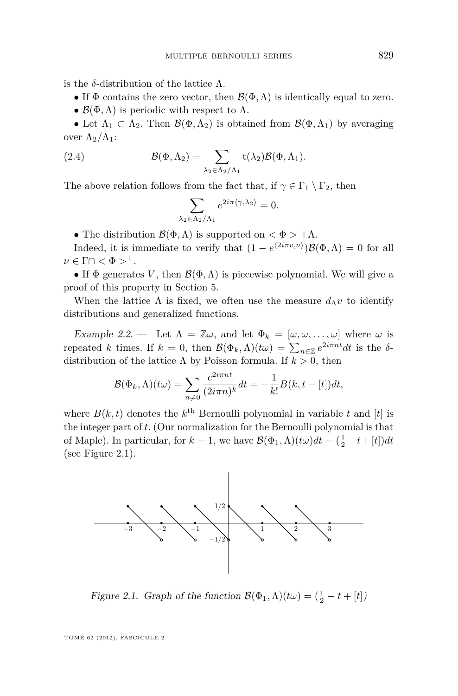<span id="page-9-0"></span>is the *δ*-distribution of the lattice Λ.

- If  $\Phi$  contains the zero vector, then  $\mathcal{B}(\Phi,\Lambda)$  is identically equal to zero.
- $\mathcal{B}(\Phi,\Lambda)$  is periodic with respect to  $\Lambda$ .

• Let  $\Lambda_1 \subset \Lambda_2$ . Then  $\mathcal{B}(\Phi,\Lambda_2)$  is obtained from  $\mathcal{B}(\Phi,\Lambda_1)$  by averaging over  $\Lambda_2/\Lambda_1$ :

(2.4) 
$$
\mathcal{B}(\Phi,\Lambda_2)=\sum_{\lambda_2\in\Lambda_2/\Lambda_1}t(\lambda_2)\mathcal{B}(\Phi,\Lambda_1).
$$

The above relation follows from the fact that, if  $\gamma \in \Gamma_1 \setminus \Gamma_2$ , then

$$
\sum_{\lambda_2 \in \Lambda_2/\Lambda_1} e^{2i\pi \langle \gamma, \lambda_2 \rangle} = 0.
$$

• The distribution  $\mathcal{B}(\Phi,\Lambda)$  is supported on  $\langle \Phi \rangle + \Lambda$ .

Indeed, it is immediate to verify that  $(1 - e^{\langle 2i\pi v, \nu \rangle}) \mathcal{B}(\Phi, \Lambda) = 0$  for all  $\nu \in \Gamma \cap \langle \Phi \rangle^{\perp}.$ 

• If  $\Phi$  generates *V*, then  $\mathcal{B}(\Phi,\Lambda)$  is piecewise polynomial. We will give a proof of this property in Section [5.](#page-13-0)

When the lattice  $\Lambda$  is fixed, we often use the measure  $d_{\Lambda}v$  to identify distributions and generalized functions.

Example 2.2. — Let  $\Lambda = \mathbb{Z}\omega$ , and let  $\Phi_k = [\omega, \omega, \ldots, \omega]$  where  $\omega$  is repeated *k* times. If  $k = 0$ , then  $\mathcal{B}(\Phi_k, \Lambda)(t\omega) = \sum_{n \in \mathbb{Z}} e^{2i\pi nt} dt$  is the  $\delta$ distribution of the lattice Λ by Poisson formula. If *k >* 0, then

$$
\mathcal{B}(\Phi_k, \Lambda)(t\omega) = \sum_{n \neq 0} \frac{e^{2i\pi nt}}{(2i\pi n)^k} dt = -\frac{1}{k!} B(k, t - [t]) dt,
$$

where  $B(k, t)$  denotes the  $k^{\text{th}}$  Bernoulli polynomial in variable  $t$  and  $[t]$  is the integer part of *t*. (Our normalization for the Bernoulli polynomial is that of Maple). In particular, for  $k = 1$ , we have  $\mathcal{B}(\Phi_1, \Lambda)(t\omega)dt = (\frac{1}{2} - t + [t])dt$ (see Figure 2.1).



Figure 2.1. Graph of the function  $\mathcal{B}(\Phi_1, \Lambda)(t\omega) = (\frac{1}{2} - t + [t])$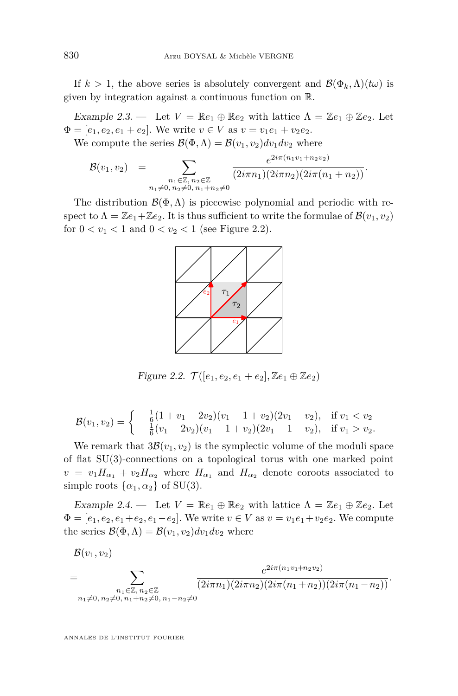<span id="page-10-0"></span>If  $k > 1$ , the above series is absolutely convergent and  $\mathcal{B}(\Phi_k, \Lambda)(t\omega)$  is given by integration against a continuous function on R.

Example 2.3. — Let  $V = \mathbb{R}e_1 \oplus \mathbb{R}e_2$  with lattice  $\Lambda = \mathbb{Z}e_1 \oplus \mathbb{Z}e_2$ . Let  $\Phi = [e_1, e_2, e_1 + e_2]$ . We write  $v \in V$  as  $v = v_1e_1 + v_2e_2$ . We compute the series  $\mathcal{B}(\Phi,\Lambda) = \mathcal{B}(v_1,v_2)dv_1dv_2$  where

$$
\mathcal{B}(v_1, v_2) = \sum_{\substack{n_1 \in \mathbb{Z}, n_2 \in \mathbb{Z} \\ n_1 \neq 0, n_2 \neq 0, n_1 + n_2 \neq 0}} \frac{e^{2i\pi(n_1v_1 + n_2v_2)}}{(2i\pi n_1)(2i\pi n_2)(2i\pi(n_1 + n_2))}.
$$

The distribution  $\mathcal{B}(\Phi,\Lambda)$  is piecewise polynomial and periodic with respect to  $\Lambda = \mathbb{Z}e_1 + \mathbb{Z}e_2$ . It is thus sufficient to write the formulae of  $\mathcal{B}(v_1, v_2)$ for  $0 < v_1 < 1$  and  $0 < v_2 < 1$  (see Figure 2.2).



Figure 2.2.  $\mathcal{T}([e_1, e_2, e_1 + e_2], \mathbb{Z}e_1 \oplus \mathbb{Z}e_2)$ 

$$
\mathcal{B}(v_1, v_2) = \begin{cases}\n-\frac{1}{6}(1 + v_1 - 2v_2)(v_1 - 1 + v_2)(2v_1 - v_2), & \text{if } v_1 < v_2 \\
-\frac{1}{6}(v_1 - 2v_2)(v_1 - 1 + v_2)(2v_1 - 1 - v_2), & \text{if } v_1 > v_2.\n\end{cases}
$$

We remark that  $3\mathcal{B}(v_1, v_2)$  is the symplectic volume of the moduli space of flat SU(3)-connections on a topological torus with one marked point  $v = v_1 H_{\alpha_1} + v_2 H_{\alpha_2}$  where  $H_{\alpha_1}$  and  $H_{\alpha_2}$  denote coroots associated to simple roots  $\{\alpha_1, \alpha_2\}$  of SU(3).

Example 2.4. — Let  $V = \mathbb{R}e_1 \oplus \mathbb{R}e_2$  with lattice  $\Lambda = \mathbb{Z}e_1 \oplus \mathbb{Z}e_2$ . Let  $\Phi = [e_1, e_2, e_1 + e_2, e_1 - e_2]$ . We write  $v \in V$  as  $v = v_1e_1 + v_2e_2$ . We compute the series  $\mathcal{B}(\Phi,\Lambda) = \mathcal{B}(v_1,v_2)dv_1dv_2$  where

 $\mathcal{B}(v_1, v_2)$ =  $\sum$ *n*1∈Z*, n*2∈Z  $n_1 \neq 0, n_2 \neq 0, n_1+n_2 \neq 0, n_1-n_2 \neq 0$  $e^{2i\pi(n_1v_1+n_2v_2)}$  $\frac{1}{(2i\pi n_1)(2i\pi n_2)(2i\pi(n_1+n_2))(2i\pi(n_1-n_2))}$ .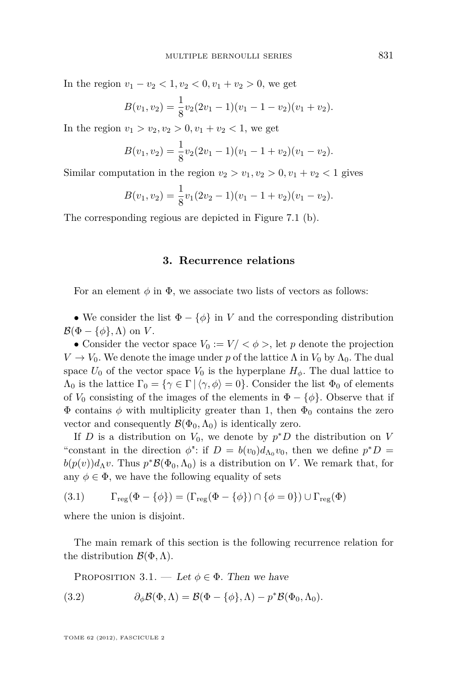<span id="page-11-0"></span>In the region  $v_1 - v_2 < 1, v_2 < 0, v_1 + v_2 > 0$ , we get

$$
B(v_1, v_2) = \frac{1}{8}v_2(2v_1 - 1)(v_1 - 1 - v_2)(v_1 + v_2).
$$

In the region  $v_1 > v_2, v_2 > 0, v_1 + v_2 < 1$ , we get

$$
B(v_1, v_2) = \frac{1}{8}v_2(2v_1 - 1)(v_1 - 1 + v_2)(v_1 - v_2).
$$

Similar computation in the region  $v_2 > v_1, v_2 > 0, v_1 + v_2 < 1$  gives

$$
B(v_1, v_2) = \frac{1}{8}v_1(2v_2 - 1)(v_1 - 1 + v_2)(v_1 - v_2).
$$

The corresponding regious are depicted in Figure [7.1](#page-23-0) (b).

#### **3. Recurrence relations**

For an element  $\phi$  in  $\Phi$ , we associate two lists of vectors as follows:

• We consider the list  $\Phi - \{\phi\}$  in *V* and the corresponding distribution  $\mathcal{B}(\Phi - \{\phi\}, \Lambda)$  on *V*.

• Consider the vector space  $V_0 := V / \langle \phi \rangle$ , let p denote the projection  $V \to V_0$ . We denote the image under *p* of the lattice  $\Lambda$  in  $V_0$  by  $\Lambda_0$ . The dual space  $U_0$  of the vector space  $V_0$  is the hyperplane  $H_\phi$ . The dual lattice to  $\Lambda_0$  is the lattice  $\Gamma_0 = {\gamma \in \Gamma | \langle \gamma, \phi \rangle = 0}.$  Consider the list  $\Phi_0$  of elements of  $V_0$  consisting of the images of the elements in  $\Phi - \{\phi\}$ . Observe that if  $\Phi$  contains  $\phi$  with multiplicity greater than 1, then  $\Phi_0$  contains the zero vector and consequently  $\mathcal{B}(\Phi_0,\Lambda_0)$  is identically zero.

If *D* is a distribution on  $V_0$ , we denote by  $p^*D$  the distribution on *V* "constant in the direction  $\phi$ ": if  $D = b(v_0)d_{\Lambda_0}v_0$ , then we define  $p^*D =$  $b(p(v))d_{\Lambda}v$ . Thus  $p^*\mathcal{B}(\Phi_0,\Lambda_0)$  is a distribution on *V*. We remark that, for any  $\phi \in \Phi$ , we have the following equality of sets

(3.1) 
$$
\Gamma_{reg}(\Phi - \{\phi\}) = (\Gamma_{reg}(\Phi - \{\phi\}) \cap \{\phi = 0\}) \cup \Gamma_{reg}(\Phi)
$$

where the union is disjoint.

The main remark of this section is the following recurrence relation for the distribution B(Φ*,*Λ).

PROPOSITION 3.1. — Let  $\phi \in \Phi$ . Then we have

(3.2) 
$$
\partial_{\phi} \mathcal{B}(\Phi, \Lambda) = \mathcal{B}(\Phi - \{\phi\}, \Lambda) - p^* \mathcal{B}(\Phi_0, \Lambda_0).
$$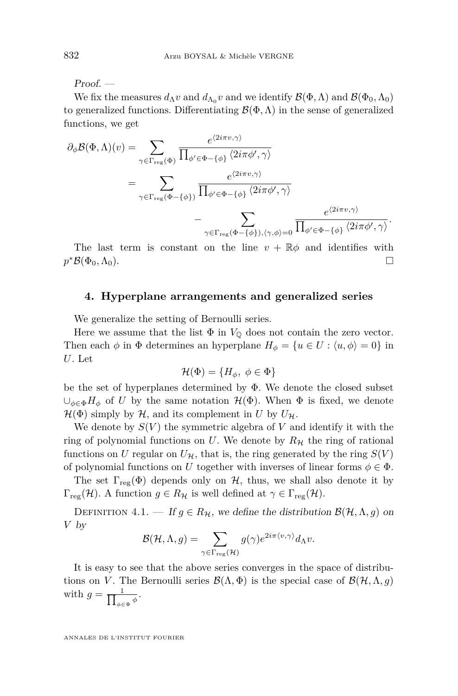$Proof.$  —

We fix the measures  $d_{\Lambda}v$  and  $d_{\Lambda_0}v$  and we identify  $\mathcal{B}(\Phi,\Lambda)$  and  $\mathcal{B}(\Phi_0,\Lambda_0)$ to generalized functions. Differentiating  $\mathcal{B}(\Phi,\Lambda)$  in the sense of generalized functions, we get

$$
\partial_{\phi} \mathcal{B}(\Phi, \Lambda)(v) = \sum_{\gamma \in \Gamma_{\text{reg}}(\Phi)} \frac{e^{\langle 2i\pi v, \gamma \rangle}}{\prod_{\phi' \in \Phi - \{\phi\}} \langle 2i\pi \phi', \gamma \rangle}
$$
  
= 
$$
\sum_{\gamma \in \Gamma_{\text{reg}}(\Phi - \{\phi\})} \frac{e^{\langle 2i\pi v, \gamma \rangle}}{\prod_{\phi' \in \Phi - \{\phi\}} \langle 2i\pi \phi', \gamma \rangle}
$$
  
- 
$$
\sum_{\gamma \in \Gamma_{\text{reg}}(\Phi - \{\phi\}), \langle \gamma, \phi \rangle = 0} \frac{e^{\langle 2i\pi v, \gamma \rangle}}{\prod_{\phi' \in \Phi - \{\phi\}} \langle 2i\pi \phi', \gamma \rangle}.
$$

The last term is constant on the line  $v + \mathbb{R}\phi$  and identifies with  $p^*B(\Phi_0,\Lambda_0).$ 

#### **4. Hyperplane arrangements and generalized series**

We generalize the setting of Bernoulli series.

Here we assume that the list  $\Phi$  in  $V_{\mathbb{Q}}$  does not contain the zero vector. Then each  $\phi$  in  $\Phi$  determines an hyperplane  $H_{\phi} = \{u \in U : \langle u, \phi \rangle = 0\}$  in *U*. Let

$$
\mathcal{H}(\Phi) = \{H_{\phi}, \ \phi \in \Phi\}
$$

be the set of hyperplanes determined by  $\Phi$ . We denote the closed subset  $∪_{φ ∈ Φ}$ *H*<sup> $φ$ </sup> of *U* by the same notation  $H(Φ)$ . When  $Φ$  is fixed, we denote  $\mathcal{H}(\Phi)$  simply by  $\mathcal{H}$ , and its complement in *U* by  $U_{\mathcal{H}}$ .

We denote by  $S(V)$  the symmetric algebra of V and identify it with the ring of polynomial functions on U. We denote by  $R<sub>H</sub>$  the ring of rational functions on *U* regular on  $U_{\mathcal{H}}$ , that is, the ring generated by the ring  $S(V)$ of polynomial functions on *U* together with inverses of linear forms  $\phi \in \Phi$ .

The set  $\Gamma_{reg}(\Phi)$  depends only on H, thus, we shall also denote it by  $\Gamma_{\text{reg}}(\mathcal{H})$ . A function  $g \in R_{\mathcal{H}}$  is well defined at  $\gamma \in \Gamma_{\text{reg}}(\mathcal{H})$ .

DEFINITION 4.1. — If  $g \in R_H$ , we define the distribution  $\mathcal{B}(\mathcal{H}, \Lambda, g)$  on *V* by

$$
\mathcal{B}(\mathcal{H}, \Lambda, g) = \sum_{\gamma \in \Gamma_{\text{reg}}(\mathcal{H})} g(\gamma) e^{2i\pi \langle v, \gamma \rangle} d_{\Lambda} v.
$$

It is easy to see that the above series converges in the space of distributions on *V*. The Bernoulli series  $\mathcal{B}(\Lambda, \Phi)$  is the special case of  $\mathcal{B}(\mathcal{H}, \Lambda, g)$ with  $g = \frac{1}{\prod_{\phi \in \mathcal{C}}}$  $\frac{1}{\phi \in \Phi} \phi$ .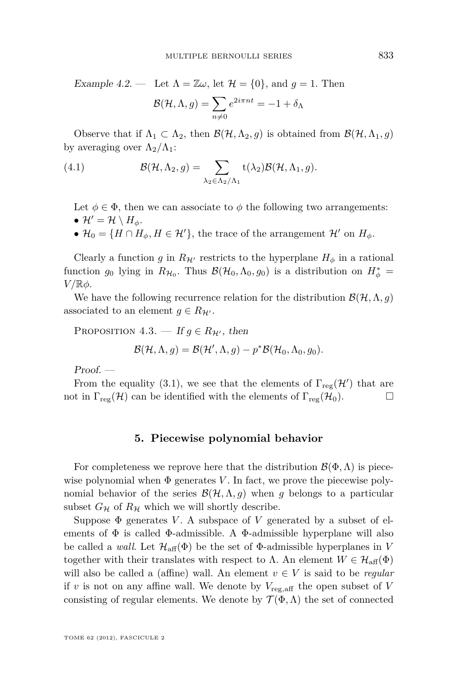<span id="page-13-0"></span>Example 4.2. — Let  $\Lambda = \mathbb{Z}\omega$ , let  $\mathcal{H} = \{0\}$ , and  $g = 1$ . Then

$$
\mathcal{B}(\mathcal{H}, \Lambda, g) = \sum_{n \neq 0} e^{2i\pi n t} = -1 + \delta_\Lambda
$$

Observe that if  $\Lambda_1 \subset \Lambda_2$ , then  $\mathcal{B}(\mathcal{H}, \Lambda_2, g)$  is obtained from  $\mathcal{B}(\mathcal{H}, \Lambda_1, g)$ by averaging over  $\Lambda_2/\Lambda_1$ :

(4.1) 
$$
\mathcal{B}(\mathcal{H}, \Lambda_2, g) = \sum_{\lambda_2 \in \Lambda_2/\Lambda_1} \mathsf{t}(\lambda_2) \mathcal{B}(\mathcal{H}, \Lambda_1, g).
$$

Let  $\phi \in \Phi$ , then we can associate to  $\phi$  the following two arrangements:  $\bullet$   $\mathcal{H}' = \mathcal{H} \setminus H_{\phi}$ .

•  $\mathcal{H}_0 = \{H \cap H_\phi, H \in \mathcal{H}'\}$ , the trace of the arrangement  $\mathcal{H}'$  on  $H_\phi$ .

Clearly a function *g* in  $R_{\mathcal{H}'}$  restricts to the hyperplane  $H_{\phi}$  in a rational function  $g_0$  lying in  $R_{H_0}$ . Thus  $\mathcal{B}(\mathcal{H}_0, \Lambda_0, g_0)$  is a distribution on  $H^*_{\phi} =$ *V /*R*φ*.

We have the following recurrence relation for the distribution  $\mathcal{B}(\mathcal{H}, \Lambda, g)$ associated to an element  $g \in R_{\mathcal{H}}$ .

PROPOSITION 4.3. — If  $q \in R_{\mathcal{H}}$ , then

$$
\mathcal{B}(\mathcal{H}, \Lambda, g) = \mathcal{B}(\mathcal{H}', \Lambda, g) - p^* \mathcal{B}(\mathcal{H}_0, \Lambda_0, g_0).
$$

Proof. —

From the equality [\(3.1\)](#page-11-0), we see that the elements of  $\Gamma_{reg}(\mathcal{H}')$  that are not in  $\Gamma_{reg}(\mathcal{H})$  can be identified with the elements of  $\Gamma_{reg}(\mathcal{H}_0)$ .

#### **5. Piecewise polynomial behavior**

For completeness we reprove here that the distribution  $\mathcal{B}(\Phi,\Lambda)$  is piecewise polynomial when  $\Phi$  generates *V*. In fact, we prove the piecewise polynomial behavior of the series  $\mathcal{B}(\mathcal{H}, \Lambda, g)$  when g belongs to a particular subset  $G_{\mathcal{H}}$  of  $R_{\mathcal{H}}$  which we will shortly describe.

Suppose  $\Phi$  generates *V*. A subspace of *V* generated by a subset of elements of  $\Phi$  is called  $\Phi$ -admissible. A  $\Phi$ -admissible hyperplane will also be called a *wall*. Let  $\mathcal{H}_{\text{aff}}(\Phi)$  be the set of  $\Phi$ -admissible hyperplanes in *V* together with their translates with respect to  $\Lambda$ . An element  $W \in \mathcal{H}_{\text{aff}}(\Phi)$ will also be called a (affine) wall. An element  $v \in V$  is said to be *regular* if *v* is not on any affine wall. We denote by  $V_{\text{reg,aff}}$  the open subset of *V* consisting of regular elements. We denote by  $\mathcal{T}(\Phi,\Lambda)$  the set of connected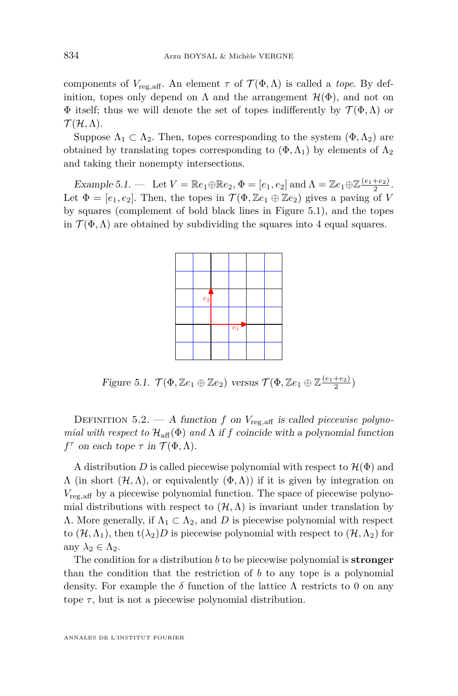components of  $V_{\text{reg,aff}}$ . An element  $\tau$  of  $\mathcal{T}(\Phi,\Lambda)$  is called a *tope*. By definition, topes only depend on  $\Lambda$  and the arrangement  $\mathcal{H}(\Phi)$ , and not on  $\Phi$  itself; thus we will denote the set of topes indifferently by  $\mathcal{T}(\Phi,\Lambda)$  or  $\mathcal{T}(\mathcal{H}, \Lambda)$ .

Suppose  $\Lambda_1 \subset \Lambda_2$ . Then, topes corresponding to the system  $(\Phi, \Lambda_2)$  are obtained by translating topes corresponding to  $(\Phi, \Lambda_1)$  by elements of  $\Lambda_2$ and taking their nonempty intersections.

Example 5.1.  $\qquad$  Let  $V = \mathbb{R}e_1 \oplus \mathbb{R}e_2, \Phi = [e_1, e_2]$  and  $\Lambda = \mathbb{Z}e_1 \oplus \mathbb{Z} \frac{(e_1 + e_2)}{2}$ . Let  $\Phi = [e_1, e_2]$ . Then, the topes in  $\mathcal{T}(\Phi, \mathbb{Z}e_1 \oplus \mathbb{Z}e_2)$  gives a paving of *V* by squares (complement of bold black lines in Figure 5.1), and the topes in  $\mathcal{T}(\Phi,\Lambda)$  are obtained by subdividing the squares into 4 equal squares.



Figure 5.1.  $\mathcal{T}(\Phi, \mathbb{Z}e_1 \oplus \mathbb{Z}e_2)$  versus  $\mathcal{T}(\Phi, \mathbb{Z}e_1 \oplus \mathbb{Z} \frac{(e_1 + e_2)}{2})$ 

DEFINITION 5.2.  $-$  A function f on  $V_{\text{reg,aff}}$  is called piecewise polyno*mial with respect to*  $\mathcal{H}_{\text{aff}}(\Phi)$  *and*  $\Lambda$  if *f* coincide with a polynomial function  $f^{\tau}$  on each tope  $\tau$  in  $\mathcal{T}(\Phi,\Lambda)$ .

A distribution *D* is called piecewise polynomial with respect to  $\mathcal{H}(\Phi)$  and  $\Lambda$  (in short  $(\mathcal{H}, \Lambda)$ , or equivalently  $(\Phi, \Lambda)$ ) if it is given by integration on *V*reg*,*aff by a piecewise polynomial function. The space of piecewise polynomial distributions with respect to  $(\mathcal{H}, \Lambda)$  is invariant under translation by  $Λ$ . More generally, if  $Λ<sub>1</sub> ⊂ Λ<sub>2</sub>$ , and *D* is piecewise polynomial with respect to  $(\mathcal{H}, \Lambda_1)$ , then  $t(\lambda_2)D$  is piecewise polynomial with respect to  $(\mathcal{H}, \Lambda_2)$  for any  $\lambda_2 \in \Lambda_2$ .

The condition for a distribution *b* to be piecewise polynomial is **stronger** than the condition that the restriction of *b* to any tope is a polynomial density. For example the  $\delta$  function of the lattice  $\Lambda$  restricts to 0 on any tope  $\tau$ , but is not a piecewise polynomial distribution.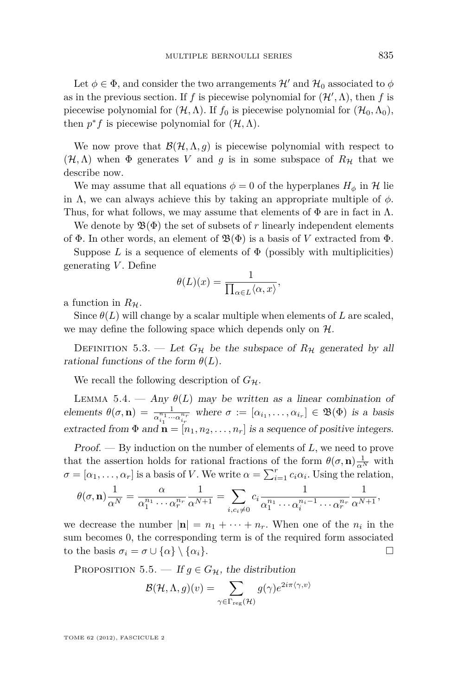<span id="page-15-0"></span>Let  $\phi \in \Phi$ , and consider the two arrangements  $\mathcal{H}'$  and  $\mathcal{H}_0$  associated to  $\phi$ as in the previous section. If *f* is piecewise polynomial for  $(\mathcal{H}', \Lambda)$ , then *f* is piecewise polynomial for  $(\mathcal{H}, \Lambda)$ . If  $f_0$  is piecewise polynomial for  $(\mathcal{H}_0, \Lambda_0)$ , then  $p^*f$  is piecewise polynomial for  $(\mathcal{H}, \Lambda)$ .

We now prove that  $\mathcal{B}(\mathcal{H}, \Lambda, g)$  is piecewise polynomial with respect to  $(\mathcal{H}, \Lambda)$  when  $\Phi$  generates *V* and *g* is in some subspace of  $R_H$  that we describe now.

We may assume that all equations  $\phi = 0$  of the hyperplanes  $H_{\phi}$  in H lie in  $\Lambda$ , we can always achieve this by taking an appropriate multiple of  $\phi$ . Thus, for what follows, we may assume that elements of  $\Phi$  are in fact in  $\Lambda$ .

We denote by  $\mathfrak{B}(\Phi)$  the set of subsets of r linearly independent elements of  $\Phi$ . In other words, an element of  $\mathfrak{B}(\Phi)$  is a basis of *V* extracted from  $\Phi$ .

Suppose  $L$  is a sequence of elements of  $\Phi$  (possibly with multiplicities) generating *V* . Define

$$
\theta(L)(x) = \frac{1}{\prod_{\alpha \in L} \langle \alpha, x \rangle},
$$

a function in  $R_{\mathcal{H}}$ .

Since  $\theta(L)$  will change by a scalar multiple when elements of *L* are scaled, we may define the following space which depends only on  $H$ .

DEFINITION 5.3. — Let  $G_{\mathcal{H}}$  be the subspace of  $R_{\mathcal{H}}$  generated by all rational functions of the form  $\theta(L)$ .

We recall the following description of  $G_{\mathcal{H}}$ .

LEMMA 5.4. — Any  $\theta(L)$  may be written as a linear combination of elements  $\theta(\sigma, \mathbf{n}) = \frac{1}{\alpha_{i_1}^{n_1} \cdots \alpha_{i_r}^{n_r}}$  where  $\sigma := [\alpha_{i_1}, \ldots, \alpha_{i_r}] \in \mathfrak{B}(\Phi)$  is a basis extracted from  $\Phi$  and  $\mathbf{n} = [n_1, n_2, \dots, n_r]$  is a sequence of positive integers.

Proof. — By induction on the number of elements of *L*, we need to prove that the assertion holds for rational fractions of the form  $\theta(\sigma, \mathbf{n}) \frac{1}{\alpha^N}$  with  $\sigma = [\alpha_1, \dots, \alpha_r]$  is a basis of *V*. We write  $\alpha = \sum_{i=1}^r c_i \alpha_i$ . Using the relation,

$$
\theta(\sigma, \mathbf{n}) \frac{1}{\alpha^N} = \frac{\alpha}{\alpha_1^{n_1} \cdots \alpha_r^{n_r}} \frac{1}{\alpha^{N+1}} = \sum_{i, c_i \neq 0} c_i \frac{1}{\alpha_1^{n_1} \cdots \alpha_i^{n_i-1} \cdots \alpha_r^{n_r}} \frac{1}{\alpha^{N+1}},
$$

we decrease the number  $|\mathbf{n}| = n_1 + \cdots + n_r$ . When one of the  $n_i$  in the sum becomes 0, the corresponding term is of the required form associated to the basis  $\sigma_i = \sigma \cup \{\alpha\} \setminus \{\alpha_i\}.$ 

PROPOSITION 5.5. — If  $g \in G_{\mathcal{H}}$ , the distribution

$$
\mathcal{B}(\mathcal{H}, \Lambda, g)(v) = \sum_{\gamma \in \Gamma_{\text{reg}}(\mathcal{H})} g(\gamma) e^{2i\pi \langle \gamma, v \rangle}
$$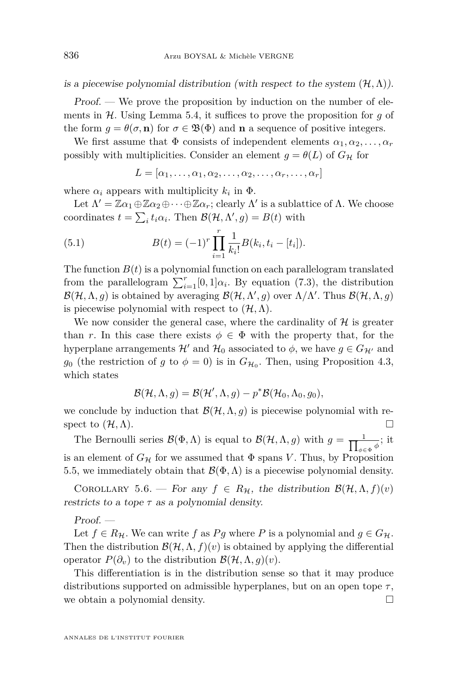is a piecewise polynomial distribution (with respect to the system  $(\mathcal{H}, \Lambda)$ ).

Proof. — We prove the proposition by induction on the number of elements in H. Using Lemma [5.4,](#page-15-0) it suffices to prove the proposition for *g* of the form  $g = \theta(\sigma, \mathbf{n})$  for  $\sigma \in \mathfrak{B}(\Phi)$  and **n** a sequence of positive integers.

We first assume that  $\Phi$  consists of independent elements  $\alpha_1, \alpha_2, \ldots, \alpha_r$ possibly with multiplicities. Consider an element  $g = \theta(L)$  of  $G_{\mathcal{H}}$  for

$$
L = [\alpha_1, \ldots, \alpha_1, \alpha_2, \ldots, \alpha_2, \ldots, \alpha_r, \ldots, \alpha_r]
$$

where  $\alpha_i$  appears with multiplicity  $k_i$  in  $\Phi$ .

Let  $\Lambda' = \mathbb{Z}\alpha_1 \oplus \mathbb{Z}\alpha_2 \oplus \cdots \oplus \mathbb{Z}\alpha_r$ ; clearly  $\Lambda'$  is a sublattice of  $\Lambda$ . We choose coordinates  $t = \sum_i t_i \alpha_i$ . Then  $\mathcal{B}(\mathcal{H}, \Lambda', g) = B(t)$  with

(5.1) 
$$
B(t) = (-1)^r \prod_{i=1}^r \frac{1}{k_i!} B(k_i, t_i - [t_i]).
$$

The function  $B(t)$  is a polynomial function on each parallelogram translated from the parallelogram  $\sum_{i=1}^{r} [0,1] \alpha_i$ . By equation [\(7.3\)](#page-22-0), the distribution  $\mathcal{B}(\mathcal{H}, \Lambda, g)$  is obtained by averaging  $\mathcal{B}(\mathcal{H}, \Lambda', g)$  over  $\Lambda/\Lambda'$ . Thus  $\mathcal{B}(\mathcal{H}, \Lambda, g)$ is piecewise polynomial with respect to  $(\mathcal{H}, \Lambda)$ .

We now consider the general case, where the cardinality of  $H$  is greater than *r*. In this case there exists  $\phi \in \Phi$  with the property that, for the hyperplane arrangements  $\mathcal{H}'$  and  $\mathcal{H}_0$  associated to  $\phi$ , we have  $g \in G_{\mathcal{H}'}$  and  $g_0$  (the restriction of *g* to  $\phi = 0$ ) is in  $G_{\mathcal{H}_0}$ . Then, using Proposition [4.3,](#page-13-0) which states

$$
\mathcal{B}(\mathcal{H}, \Lambda, g) = \mathcal{B}(\mathcal{H}', \Lambda, g) - p^* \mathcal{B}(\mathcal{H}_0, \Lambda_0, g_0),
$$

we conclude by induction that  $\mathcal{B}(\mathcal{H}, \Lambda, g)$  is piecewise polynomial with respect to  $(\mathcal{H}, \Lambda)$ .

The Bernoulli series  $\mathcal{B}(\Phi,\Lambda)$  is equal to  $\mathcal{B}(\mathcal{H},\Lambda,g)$  with  $g = \frac{1}{\prod_{\phi \in \Lambda} g_{\phi}}$  $\frac{1}{\phi \in \Phi}$ <sup>*φ*</sup>; it is an element of  $G_H$  for we assumed that  $\Phi$  spans *V*. Thus, by Proposition [5.5,](#page-15-0) we immediately obtain that  $\mathcal{B}(\Phi,\Lambda)$  is a piecewise polynomial density.

COROLLARY 5.6. — For any  $f \in R_H$ , the distribution  $\mathcal{B}(\mathcal{H}, \Lambda, f)(v)$ restricts to a tope  $\tau$  as a polynomial density.

 $Proof.$  —

Let  $f \in R_H$ . We can write f as Pg where P is a polynomial and  $g \in G_H$ . Then the distribution  $\mathcal{B}(\mathcal{H}, \Lambda, f)(v)$  is obtained by applying the differential operator  $P(\partial_v)$  to the distribution  $\mathcal{B}(\mathcal{H}, \Lambda, q)(v)$ .

This differentiation is in the distribution sense so that it may produce distributions supported on admissible hyperplanes, but on an open tope *τ* , we obtain a polynomial density.  $\Box$ 

<span id="page-16-0"></span>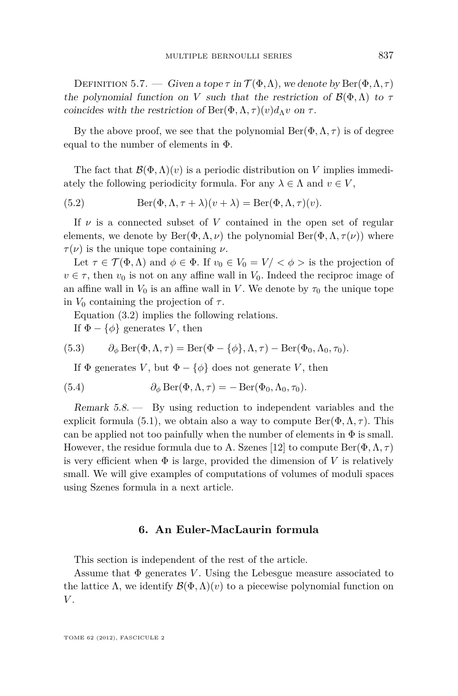<span id="page-17-0"></span>DEFINITION 5.7. — Given a tope  $\tau$  in  $\mathcal{T}(\Phi,\Lambda)$ , we denote by Ber( $\Phi,\Lambda,\tau$ ) the polynomial function on *V* such that the restriction of  $\mathcal{B}(\Phi,\Lambda)$  to  $\tau$ coincides with the restriction of  $\text{Ber}(\Phi, \Lambda, \tau)(v)d$ <sub>Λ</sub>*v* on  $\tau$ .

By the above proof, we see that the polynomial  $Ber(\Phi, \Lambda, \tau)$  is of degree equal to the number of elements in Φ.

The fact that  $\mathcal{B}(\Phi,\Lambda)(v)$  is a periodic distribution on *V* implies immediately the following periodicity formula. For any  $\lambda \in \Lambda$  and  $v \in V$ ,

(5.2) 
$$
\operatorname{Ber}(\Phi, \Lambda, \tau + \lambda)(v + \lambda) = \operatorname{Ber}(\Phi, \Lambda, \tau)(v).
$$

If  $\nu$  is a connected subset of  $V$  contained in the open set of regular elements, we denote by  $\text{Ber}(\Phi, \Lambda, \nu)$  the polynomial  $\text{Ber}(\Phi, \Lambda, \tau(\nu))$  where  $\tau(\nu)$  is the unique tope containing  $\nu$ .

Let  $\tau \in \mathcal{T}(\Phi,\Lambda)$  and  $\phi \in \Phi$ . If  $v_0 \in V_0 = V' < \phi >$  is the projection of  $v \in \tau$ , then  $v_0$  is not on any affine wall in  $V_0$ . Indeed the reciproc image of an affine wall in  $V_0$  is an affine wall in V. We denote by  $\tau_0$  the unique tope in  $V_0$  containing the projection of  $\tau$ .

Equation [\(3.2\)](#page-11-0) implies the following relations.

If  $\Phi - \{\phi\}$  generates *V*, then

(5.3) 
$$
\partial_{\phi} \operatorname{Ber}(\Phi, \Lambda, \tau) = \operatorname{Ber}(\Phi - \{\phi\}, \Lambda, \tau) - \operatorname{Ber}(\Phi_0, \Lambda_0, \tau_0).
$$

If  $\Phi$  generates *V*, but  $\Phi - \{\phi\}$  does not generate *V*, then

(5.4) 
$$
\partial_{\phi} \operatorname{Ber}(\Phi, \Lambda, \tau) = - \operatorname{Ber}(\Phi_0, \Lambda_0, \tau_0).
$$

Remark 5.8. — By using reduction to independent variables and the explicit formula [\(5.1\)](#page-16-0), we obtain also a way to compute  $\text{Ber}(\Phi, \Lambda, \tau)$ . This can be applied not too painfully when the number of elements in  $\Phi$  is small. However, the residue formula due to A. Szenes [\[12\]](#page-37-0) to compute  $\text{Ber}(\Phi, \Lambda, \tau)$ is very efficient when  $\Phi$  is large, provided the dimension of  $V$  is relatively small. We will give examples of computations of volumes of moduli spaces using Szenes formula in a next article.

#### **6. An Euler-MacLaurin formula**

This section is independent of the rest of the article.

Assume that  $\Phi$  generates *V*. Using the Lebesgue measure associated to the lattice  $\Lambda$ , we identify  $\mathcal{B}(\Phi,\Lambda)(v)$  to a piecewise polynomial function on *V* .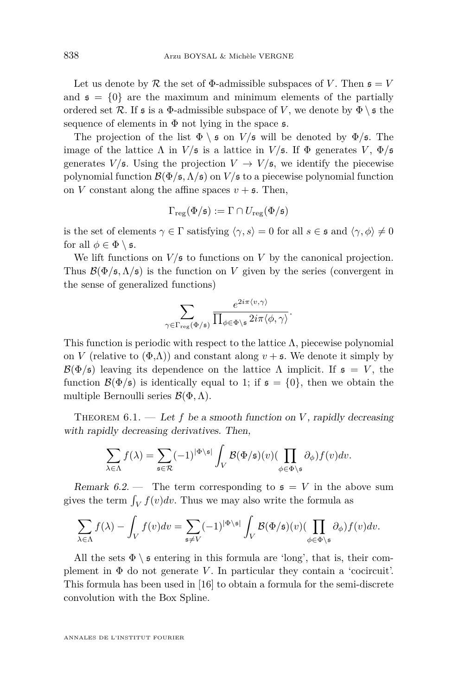Let us denote by  $\mathcal R$  the set of  $\Phi$ -admissible subspaces of *V*. Then  $\mathfrak s = V$ and  $\mathfrak{s} = \{0\}$  are the maximum and minimum elements of the partially ordered set R. If  $\mathfrak s$  is a  $\Phi$ -admissible subspace of V, we denote by  $\Phi \setminus \mathfrak s$  the sequence of elements in  $\Phi$  not lying in the space  $\mathfrak{s}$ .

The projection of the list  $\Phi \setminus \mathfrak{s}$  on  $V/\mathfrak{s}$  will be denoted by  $\Phi/\mathfrak{s}$ . The image of the lattice  $\Lambda$  in  $V/\mathfrak{s}$  is a lattice in  $V/\mathfrak{s}$ . If  $\Phi$  generates  $V, \Phi/\mathfrak{s}$ generates  $V/\mathfrak{s}$ . Using the projection  $V \to V/\mathfrak{s}$ , we identify the piecewise polynomial function  $\mathcal{B}(\Phi/\mathfrak{s},\Lambda/\mathfrak{s})$  on  $V/\mathfrak{s}$  to a piecewise polynomial function on *V* constant along the affine spaces  $v + \mathfrak{s}$ . Then,

$$
\Gamma_\text{reg}(\Phi/\mathfrak{s}):=\Gamma\cap U_\text{reg}(\Phi/\mathfrak{s})
$$

is the set of elements  $\gamma \in \Gamma$  satisfying  $\langle \gamma, s \rangle = 0$  for all  $s \in \mathfrak{s}$  and  $\langle \gamma, \phi \rangle \neq 0$ for all  $\phi \in \Phi \setminus \mathfrak{s}$ .

We lift functions on  $V/\mathfrak{s}$  to functions on *V* by the canonical projection. Thus  $\mathcal{B}(\Phi/\mathfrak{s},\Lambda/\mathfrak{s})$  is the function on *V* given by the series (convergent in the sense of generalized functions)

$$
\sum_{\gamma \in \Gamma_{\text{reg}}(\Phi/\mathfrak{s})} \frac{e^{2i\pi \langle v, \gamma \rangle}}{\prod_{\phi \in \Phi \setminus \mathfrak{s}} 2i\pi \langle \phi, \gamma \rangle}.
$$

This function is periodic with respect to the lattice  $\Lambda$ , piecewise polynomial on *V* (relative to  $(\Phi,\Lambda)$ ) and constant along  $v + \mathfrak{s}$ . We denote it simply by  $\mathcal{B}(\Phi/\mathfrak{s})$  leaving its dependence on the lattice  $\Lambda$  implicit. If  $\mathfrak{s} = V$ , the function  $\mathcal{B}(\Phi/\mathfrak{s})$  is identically equal to 1; if  $\mathfrak{s} = \{0\}$ , then we obtain the multiple Bernoulli series B(Φ*,*Λ).

THEOREM  $6.1.$  — Let f be a smooth function on *V*, rapidly decreasing with rapidly decreasing derivatives. Then,

$$
\sum_{\lambda \in \Lambda} f(\lambda) = \sum_{\mathfrak{s} \in \mathcal{R}} (-1)^{|\Phi \backslash \mathfrak{s}|} \int_{V} \mathcal{B}(\Phi/\mathfrak{s})(v) (\prod_{\phi \in \Phi \backslash \mathfrak{s}} \partial_{\phi}) f(v) dv.
$$

Remark  $6.2$  — The term corresponding to  $\mathfrak{s} = V$  in the above sum gives the term  $\int_V f(v)dv$ . Thus we may also write the formula as

$$
\sum_{\lambda \in \Lambda} f(\lambda) - \int_{V} f(v) dv = \sum_{\mathfrak{s} \neq V} (-1)^{|\Phi \setminus \mathfrak{s}|} \int_{V} \mathcal{B}(\Phi/\mathfrak{s})(v) (\prod_{\phi \in \Phi \setminus \mathfrak{s}} \partial_{\phi}) f(v) dv.
$$

All the sets  $\Phi \setminus \mathfrak{s}$  entering in this formula are 'long', that is, their complement in  $\Phi$  do not generate *V*. In particular they contain a 'cocircuit'. This formula has been used in [\[16\]](#page-37-0) to obtain a formula for the semi-discrete convolution with the Box Spline.

<span id="page-18-0"></span>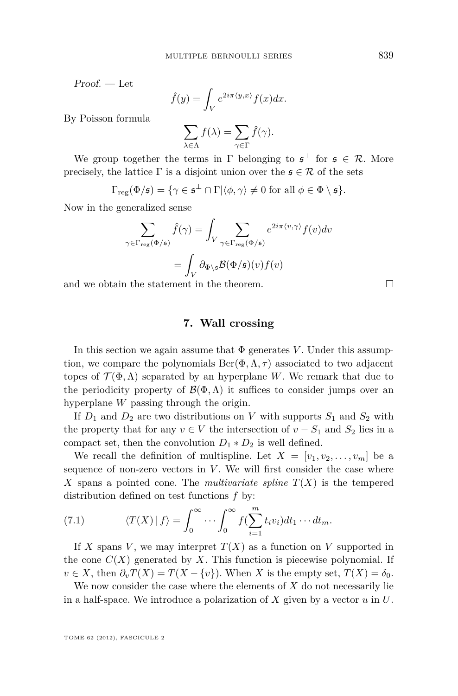<span id="page-19-0"></span>Proof. — Let

$$
\hat{f}(y) = \int_{V} e^{2i\pi \langle y, x \rangle} f(x) dx.
$$

By Poisson formula

$$
\sum_{\lambda \in \Lambda} f(\lambda) = \sum_{\gamma \in \Gamma} \hat{f}(\gamma).
$$

We group together the terms in  $\Gamma$  belonging to  $\mathfrak{s}^{\perp}$  for  $\mathfrak{s} \in \mathcal{R}$ . More precisely, the lattice  $\Gamma$  is a disjoint union over the  $\mathfrak{s} \in \mathcal{R}$  of the sets

$$
\Gamma_{\text{reg}}(\Phi/\mathfrak{s}) = \{ \gamma \in \mathfrak{s}^{\perp} \cap \Gamma | \langle \phi, \gamma \rangle \neq 0 \text{ for all } \phi \in \Phi \setminus \mathfrak{s} \}.
$$

Now in the generalized sense

$$
\sum_{\gamma \in \Gamma_{\text{reg}}(\Phi/\mathfrak{s})} \hat{f}(\gamma) = \int_{V} \sum_{\gamma \in \Gamma_{\text{reg}}(\Phi/\mathfrak{s})} e^{2i\pi \langle v, \gamma \rangle} f(v) dv
$$

$$
= \int_{V} \partial_{\Phi \setminus \mathfrak{s}} \mathcal{B}(\Phi/\mathfrak{s})(v) f(v)
$$

and we obtain the statement in the theorem.

#### **7. Wall crossing**

In this section we again assume that  $\Phi$  generates *V*. Under this assumption, we compare the polynomials  $Ber(\Phi, \Lambda, \tau)$  associated to two adjacent topes of  $\mathcal{T}(\Phi,\Lambda)$  separated by an hyperplane *W*. We remark that due to the periodicity property of  $\mathcal{B}(\Phi,\Lambda)$  it suffices to consider jumps over an hyperplane *W* passing through the origin.

If  $D_1$  and  $D_2$  are two distributions on *V* with supports  $S_1$  and  $S_2$  with the property that for any  $v \in V$  the intersection of  $v - S_1$  and  $S_2$  lies in a compact set, then the convolution  $D_1 * D_2$  is well defined.

We recall the definition of multispline. Let  $X = [v_1, v_2, \ldots, v_m]$  be a sequence of non-zero vectors in  $V$ . We will first consider the case where X spans a pointed cone. The *multivariate spline*  $T(X)$  is the tempered distribution defined on test functions *f* by:

(7.1) 
$$
\langle T(X) | f \rangle = \int_0^\infty \cdots \int_0^\infty f(\sum_{i=1}^m t_i v_i) dt_1 \cdots dt_m.
$$

If *X* spans *V*, we may interpret  $T(X)$  as a function on *V* supported in the cone  $C(X)$  generated by X. This function is piecewise polynomial. If  $v \in X$ , then  $\partial_v T(X) = T(X - \{v\})$ . When *X* is the empty set,  $T(X) = \delta_0$ .

We now consider the case where the elements of *X* do not necessarily lie in a half-space. We introduce a polarization of *X* given by a vector *u* in *U*.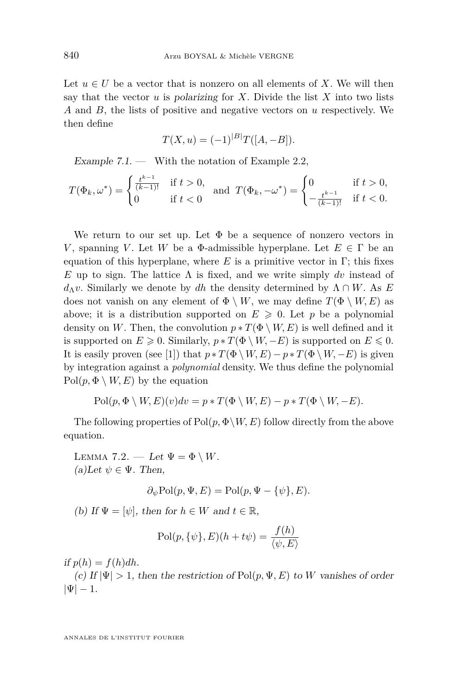<span id="page-20-0"></span>Let  $u \in U$  be a vector that is nonzero on all elements of X. We will then say that the vector  $u$  is polarizing for  $X$ . Divide the list  $X$  into two lists *A* and *B*, the lists of positive and negative vectors on *u* respectively. We then define

$$
T(X, u) = (-1)^{|B|} T([A, -B]).
$$

Example  $7.1.$  — With the notation of Example [2.2,](#page-9-0)

$$
T(\Phi_k, \omega^*) = \begin{cases} \frac{t^{k-1}}{(k-1)!} & \text{if } t > 0, \\ 0 & \text{if } t < 0 \end{cases} \text{ and } T(\Phi_k, -\omega^*) = \begin{cases} 0 & \text{if } t > 0, \\ -\frac{t^{k-1}}{(k-1)!} & \text{if } t < 0. \end{cases}
$$

We return to our set up. Let Φ be a sequence of nonzero vectors in *V*, spanning *V*. Let *W* be a  $\Phi$ -admissible hyperplane. Let  $E \in \Gamma$  be an equation of this hyperplane, where  $E$  is a primitive vector in  $\Gamma$ ; this fixes *E* up to sign. The lattice  $\Lambda$  is fixed, and we write simply dv instead of *d*<sub>Δ</sub>*v*. Similarly we denote by *dh* the density determined by  $Λ ∩ W$ . As *E* does not vanish on any element of  $\Phi \setminus W$ , we may define  $T(\Phi \setminus W, E)$  as above; it is a distribution supported on  $E \geq 0$ . Let *p* be a polynomial density on *W*. Then, the convolution  $p * T(\Phi \setminus W, E)$  is well defined and it is supported on  $E \geq 0$ . Similarly,  $p * T(\Phi \setminus W, -E)$  is supported on  $E \leq 0$ . It is easily proven (see [\[1\]](#page-37-0)) that  $p * T(\Phi \setminus W, E) - p * T(\Phi \setminus W, -E)$  is given by integration against a *polynomial* density. We thus define the polynomial  $Pol(p, \Phi \setminus W, E)$  by the equation

$$
Pol(p, \Phi \setminus W, E)(v) dv = p * T(\Phi \setminus W, E) - p * T(\Phi \setminus W, -E).
$$

The following properties of  $Pol(p, \Phi \backslash W, E)$  follow directly from the above equation.

LEMMA 7.2. — Let  $\Psi = \Phi \setminus W$ .  $(a)$ Let  $\psi \in \Psi$ . Then,

$$
\partial_{\psi} \text{Pol}(p, \Psi, E) = \text{Pol}(p, \Psi - {\psi}, E).
$$

(b) If  $\Psi = [\psi]$ , then for  $h \in W$  and  $t \in \mathbb{R}$ ,

$$
\text{Pol}(p, \{\psi\}, E)(h + t\psi) = \frac{f(h)}{\langle \psi, E \rangle}
$$

if  $p(h) = f(h)dh$ .

(c) If  $|\Psi| > 1$ , then the restriction of Pol $(p, \Psi, E)$  to W vanishes of order  $|\Psi| - 1.$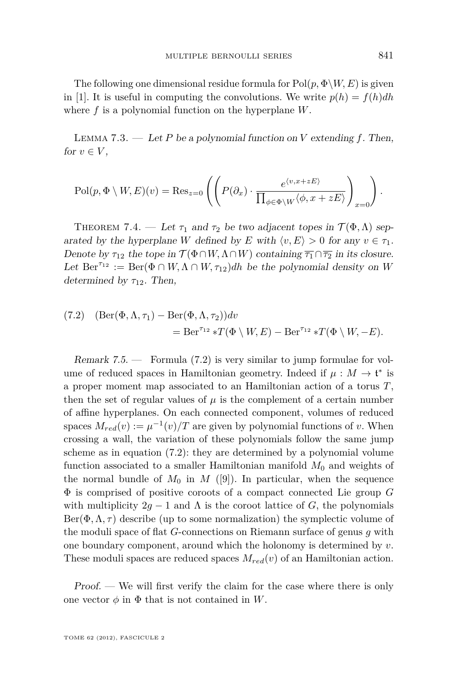<span id="page-21-0"></span>The following one dimensional residue formula for  $Pol(p, \Phi \backslash W, E)$  is given in [\[1\]](#page-37-0). It is useful in computing the convolutions. We write  $p(h) = f(h)dh$ where *f* is a polynomial function on the hyperplane *W*.

Lemma 7.3. — Let *P* be a polynomial function on *V* extending *f*. Then, for  $v \in V$ ,

$$
\mathrm{Pol}(p, \Phi \setminus W, E)(v) = \mathrm{Res}_{z=0} \left( \left( P(\partial_x) \cdot \frac{e^{\langle v, x+zE \rangle}}{\prod_{\phi \in \Phi \setminus W} \langle \phi, x+zE \rangle} \right)_{x=0} \right).
$$

THEOREM 7.4. — Let  $\tau_1$  and  $\tau_2$  be two adjacent topes in  $\mathcal{T}(\Phi,\Lambda)$  separated by the hyperplane *W* defined by *E* with  $\langle v, E \rangle > 0$  for any  $v \in \tau_1$ . Denote by  $\tau_{12}$  the tope in  $\mathcal{T}(\Phi \cap W, \Lambda \cap W)$  containing  $\overline{\tau_1} \cap \overline{\tau_2}$  in its closure. Let  $\text{Ber}^{\tau_{12}} := \text{Ber}(\Phi \cap W, \Lambda \cap W, \tau_{12})$ *dh* be the polynomial density on *W* determined by  $\tau_{12}$ . Then,

(7.2) 
$$
(\text{Ber}(\Phi, \Lambda, \tau_1) - \text{Ber}(\Phi, \Lambda, \tau_2))dv
$$
  
= 
$$
\text{Ber}^{\tau_{12}} * T(\Phi \setminus W, E) - \text{Ber}^{\tau_{12}} * T(\Phi \setminus W, -E).
$$

Remark  $7.5.$  — Formula  $(7.2)$  is very similar to jump formulae for volume of reduced spaces in Hamiltonian geometry. Indeed if  $\mu : M \to \mathfrak{t}^*$  is a proper moment map associated to an Hamiltonian action of a torus *T*, then the set of regular values of  $\mu$  is the complement of a certain number of affine hyperplanes. On each connected component, volumes of reduced spaces  $M_{red}(v) := \mu^{-1}(v)/T$  are given by polynomial functions of *v*. When crossing a wall, the variation of these polynomials follow the same jump scheme as in equation (7.2): they are determined by a polynomial volume function associated to a smaller Hamiltonian manifold  $M_0$  and weights of the normal bundle of  $M_0$  in  $M$  ([\[9\]](#page-37-0)). In particular, when the sequence Φ is comprised of positive coroots of a compact connected Lie group *G* with multiplicity  $2q - 1$  and  $\Lambda$  is the coroot lattice of *G*, the polynomials  $\text{Ber}(\Phi, \Lambda, \tau)$  describe (up to some normalization) the symplectic volume of the moduli space of flat *G*-connections on Riemann surface of genus *g* with one boundary component, around which the holonomy is determined by *v*. These moduli spaces are reduced spaces *Mred*(*v*) of an Hamiltonian action.

Proof. — We will first verify the claim for the case where there is only one vector  $\phi$  in  $\Phi$  that is not contained in *W*.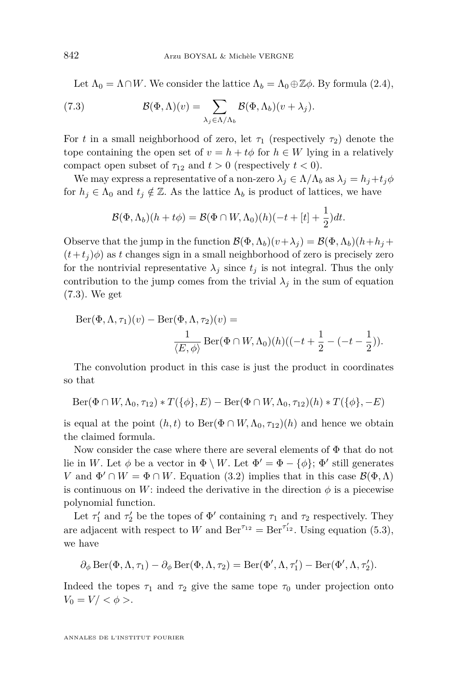<span id="page-22-0"></span>Let  $\Lambda_0 = \Lambda \cap W$ . We consider the lattice  $\Lambda_b = \Lambda_0 \oplus \mathbb{Z} \phi$ . By formula [\(2.4\)](#page-9-0),

(7.3) 
$$
\mathcal{B}(\Phi,\Lambda)(v) = \sum_{\lambda_j \in \Lambda/\Lambda_b} \mathcal{B}(\Phi,\Lambda_b)(v+\lambda_j).
$$

For *t* in a small neighborhood of zero, let  $\tau_1$  (respectively  $\tau_2$ ) denote the tope containing the open set of  $v = h + t\phi$  for  $h \in W$  lying in a relatively compact open subset of  $\tau_{12}$  and  $t > 0$  (respectively  $t < 0$ ).

We may express a representative of a non-zero  $\lambda_j \in \Lambda/\Lambda_b$  as  $\lambda_j = h_j + t_j \phi$ for  $h_j \in \Lambda_0$  and  $t_j \notin \mathbb{Z}$ . As the lattice  $\Lambda_b$  is product of lattices, we have

$$
\mathcal{B}(\Phi,\Lambda_b)(h+t\phi)=\mathcal{B}(\Phi\cap W,\Lambda_0)(h)(-t+[t]+\frac{1}{2})dt.
$$

Observe that the jump in the function  $\mathcal{B}(\Phi, \Lambda_b)(v+\lambda_j) = \mathcal{B}(\Phi, \Lambda_b)(h+h_j + \Lambda_b)$  $(t+t_i)\phi$  as *t* changes sign in a small neighborhood of zero is precisely zero for the nontrivial representative  $\lambda_j$  since  $t_j$  is not integral. Thus the only contribution to the jump comes from the trivial  $\lambda_j$  in the sum of equation (7.3). We get

$$
Ber(\Phi, \Lambda, \tau_1)(v) - Ber(\Phi, \Lambda, \tau_2)(v) =
$$
  

$$
\frac{1}{\langle E, \phi \rangle} Ber(\Phi \cap W, \Lambda_0)(h)((-t + \frac{1}{2} - (-t - \frac{1}{2})).
$$

The convolution product in this case is just the product in coordinates so that

$$
\mathrm{Ber}(\Phi \cap W, \Lambda_0, \tau_{12}) * T(\{\phi\}, E) - \mathrm{Ber}(\Phi \cap W, \Lambda_0, \tau_{12})(h) * T(\{\phi\}, -E)
$$

is equal at the point  $(h, t)$  to Ber( $\Phi \cap W, \Lambda_0, \tau_{12}(h)$  and hence we obtain the claimed formula.

Now consider the case where there are several elements of Φ that do not lie in *W*. Let  $\phi$  be a vector in  $\Phi \setminus W$ . Let  $\Phi' = \Phi - \{\phi\}; \Phi'$  still generates *V* and  $\Phi' \cap W = \Phi \cap W$ . Equation [\(3.2\)](#page-11-0) implies that in this case  $\mathcal{B}(\Phi, \Lambda)$ is continuous on *W*: indeed the derivative in the direction  $\phi$  is a piecewise polynomial function.

Let  $\tau_1'$  and  $\tau_2'$  be the topes of  $\Phi'$  containing  $\tau_1$  and  $\tau_2$  respectively. They are adjacent with respect to *W* and  $\text{Ber}^{\tau_{12}} = \text{Ber}^{\tau'_{12}}$ . Using equation [\(5.3\)](#page-17-0), we have

$$
\partial_\phi\operatorname{Ber}(\Phi,\Lambda,\tau_1)-\partial_\phi\operatorname{Ber}(\Phi,\Lambda,\tau_2)=\operatorname{Ber}(\Phi',\Lambda,\tau_1')-\operatorname{Ber}(\Phi',\Lambda,\tau_2').
$$

Indeed the topes  $\tau_1$  and  $\tau_2$  give the same tope  $\tau_0$  under projection onto  $V_0 = V / <\phi>$ .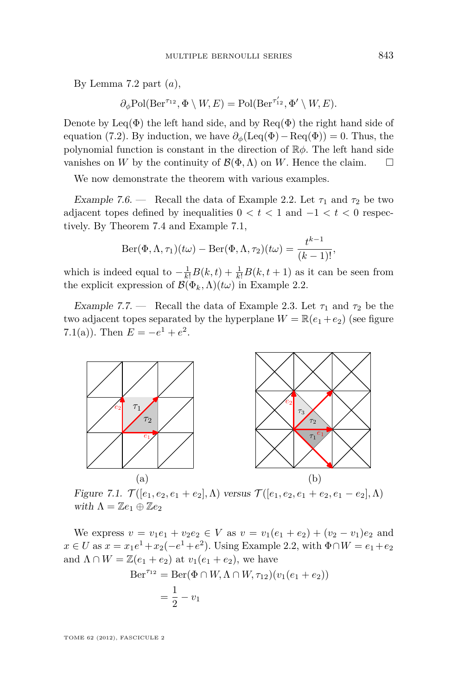<span id="page-23-0"></span>By Lemma [7.2](#page-20-0) part (*a*),

$$
\partial_{\phi} \text{Pol}(\text{Ber}^{\tau_{12}}, \Phi \setminus W, E) = \text{Pol}(\text{Ber}^{\tau'_{12}}, \Phi' \setminus W, E).
$$

Denote by Leq( $\Phi$ ) the left hand side, and by Req( $\Phi$ ) the right hand side of equation [\(7.2\)](#page-21-0). By induction, we have  $\partial_{\phi}(\text{Leq}(\Phi)-\text{Req}(\Phi))=0$ . Thus, the polynomial function is constant in the direction of R*φ*. The left hand side vanishes on *W* by the continuity of  $\mathcal{B}(\Phi,\Lambda)$  on *W*. Hence the claim.  $\square$ 

We now demonstrate the theorem with various examples.

Example 7.6. — Recall the data of Example [2.2.](#page-9-0) Let  $\tau_1$  and  $\tau_2$  be two adjacent topes defined by inequalities  $0 < t < 1$  and  $-1 < t < 0$  respectively. By Theorem [7.4](#page-21-0) and Example [7.1,](#page-20-0)

$$
Ber(\Phi, \Lambda, \tau_1)(t\omega) - Ber(\Phi, \Lambda, \tau_2)(t\omega) = \frac{t^{k-1}}{(k-1)!},
$$

which is indeed equal to  $-\frac{1}{k!}B(k,t) + \frac{1}{k!}B(k,t+1)$  as it can be seen from the explicit expression of  $\mathcal{B}(\Phi_k, \Lambda)(t\omega)$  in Example [2.2.](#page-9-0)

Example 7.7. — Recall the data of Example [2.3.](#page-10-0) Let  $\tau_1$  and  $\tau_2$  be the two adjacent topes separated by the hyperplane  $W = \mathbb{R}(e_1 + e_2)$  (see figure 7.1(a)). Then  $E = -e^1 + e^2$ .



Figure 7.1.  $\mathcal{T}([e_1, e_2, e_1 + e_2], \Lambda)$  versus  $\mathcal{T}([e_1, e_2, e_1 + e_2, e_1 - e_2], \Lambda)$ with  $\Lambda = \mathbb{Z}e_1 \oplus \mathbb{Z}e_2$ 

We express  $v = v_1e_1 + v_2e_2 \in V$  as  $v = v_1(e_1 + e_2) + (v_2 - v_1)e_2$  and *x* ∈ *U* as  $x = x_1e^1 + x_2(-e^1 + e^2)$ . Using Example [2.2,](#page-9-0) with  $Φ∩W = e_1 + e_2$ and  $\Lambda \cap W = \mathbb{Z}(e_1 + e_2)$  at  $v_1(e_1 + e_2)$ , we have

$$
Ber^{\tau_{12}} = Ber(\Phi \cap W, \Lambda \cap W, \tau_{12})(v_1(e_1 + e_2))
$$
  
=  $\frac{1}{2} - v_1$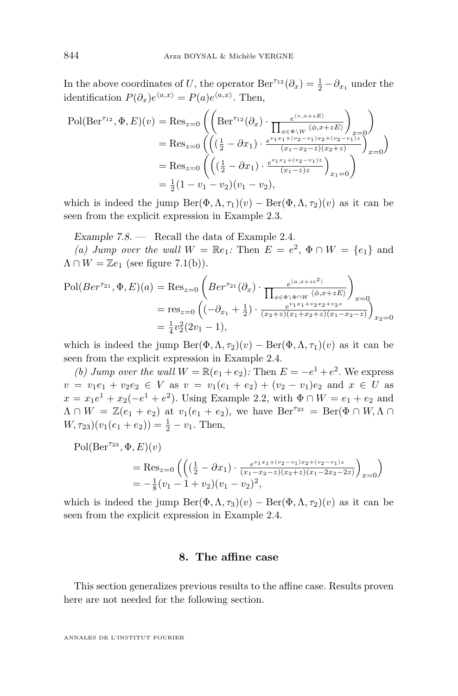<span id="page-24-0"></span>In the above coordinates of *U*, the operator  $\text{Ber}^{\tau_{12}}(\partial_x) = \frac{1}{2} - \partial_{x_1}$  under the identification  $P(\partial_x)e^{\langle a,x \rangle} = P(a)e^{\langle a,x \rangle}$ . Then,

$$
\text{Pol}(\text{Ber}^{\tau_{12}}, \Phi, E)(v) = \text{Res}_{z=0} \left( \left( \text{Ber}^{\tau_{12}}(\partial_x) \cdot \frac{e^{\langle v, x+zE \rangle}}{\prod_{\phi \in \Phi \setminus W} \langle \phi, x+zE \rangle} \right)_{x=0} \right)
$$
  
= Res\_{z=0} \left( \left( \left( \frac{1}{2} - \partial x\_1 \right) \cdot \frac{e^{v\_1 x\_1 + (v\_2 - v\_1) x\_2 + (v\_2 - v\_1)^2}}{(x\_1 - x\_2 - z)(x\_2 + z)} \right)\_{x=0} \right)  
= \text{Res}\_{z=0} \left( \left( \left( \frac{1}{2} - \partial x\_1 \right) \cdot \frac{e^{v\_1 x\_1 + (v\_2 - v\_1) x\_2}}{(x\_1 - z) z} \right)\_{x\_1 = 0} \right)  
= \frac{1}{2} (1 - v\_1 - v\_2)(v\_1 - v\_2),

which is indeed the jump  $\text{Ber}(\Phi, \Lambda, \tau_1)(v) - \text{Ber}(\Phi, \Lambda, \tau_2)(v)$  as it can be seen from the explicit expression in Example [2.3.](#page-10-0)

Example 7.8. — Recall the data of Example [2.4.](#page-10-0)

(a) Jump over the wall  $W = \mathbb{R}e_1$ : Then  $E = e^2$ ,  $\Phi \cap W = \{e_1\}$  and  $\Lambda \cap W = \mathbb{Z}e_1$  (see figure [7.1\(](#page-23-0)b)).

$$
\text{Pol}(Ber^{r_{21}}, \Phi, E)(a) = \text{Res}_{z=0} \left( Ber^{r_{21}}(\partial_x) \cdot \frac{e^{\langle a, x+ze^2 \rangle}}{\prod_{\phi \in \Phi \setminus \Phi \cap W} \langle \phi, x+ze^2 \rangle} \right)_{x=0}
$$
  
= res\_{z=0} \left( \left( -\partial\_{x\_1} + \frac{1}{2} \right) \cdot \frac{e^{\langle x, x+ze^2 \rangle}}{(x\_2+z)(x\_1+x\_2+z)(x\_1-x\_2-z)} \right)\_{x\_2=0}  
= \frac{1}{4}v\_2^2(2v\_1 - 1),

which is indeed the jump  $\text{Ber}(\Phi, \Lambda, \tau_2)(v) - \text{Ber}(\Phi, \Lambda, \tau_1)(v)$  as it can be seen from the explicit expression in Example [2.4.](#page-10-0)

*(b) Jump over the wall*  $W = \mathbb{R}(e_1 + e_2)$ : Then  $E = -e^1 + e^2$ . We express  $v = v_1e_1 + v_2e_2 \in V$  as  $v = v_1(e_1 + e_2) + (v_2 - v_1)e_2$  and  $x \in U$  as  $x = x_1e^1 + x_2(-e^1 + e^2)$ . Using Example [2.2,](#page-9-0) with Φ∩ *W* = *e*<sub>1</sub> + *e*<sub>2</sub> and  $\Lambda \cap W = \mathbb{Z}(e_1 + e_2)$  at  $v_1(e_1 + e_2)$ , we have  $\text{Ber}^{\tau_{23}} = \text{Ber}(\Phi \cap W, \Lambda \cap W)$  $W, \tau_{23})(v_1(e_1 + e_2)) = \frac{1}{2} - v_1$ . Then,

 $Pol(Ber<sup>\tau_{23}</sup>, \Phi, E)(v)$ 

= Res<sub>z=0</sub> 
$$
\left( \left( \left( \frac{1}{2} - \partial x_1 \right) \cdot \frac{e^{v_1 x_1 + (v_2 - v_1) x_2 + (v_2 - v_1) z}}{(x_1 - x_2 - z)(x_2 + z)(x_1 - 2x_2 - 2z)} \right)_{x=0} \right)
$$
  
=  $-\frac{1}{8} (v_1 - 1 + v_2) (v_1 - v_2)^2$ ,

which is indeed the jump  $\text{Ber}(\Phi, \Lambda, \tau_3)(v) - \text{Ber}(\Phi, \Lambda, \tau_2)(v)$  as it can be seen from the explicit expression in Example [2.4.](#page-10-0)

#### **8. The affine case**

This section generalizes previous results to the affine case. Results proven here are not needed for the following section.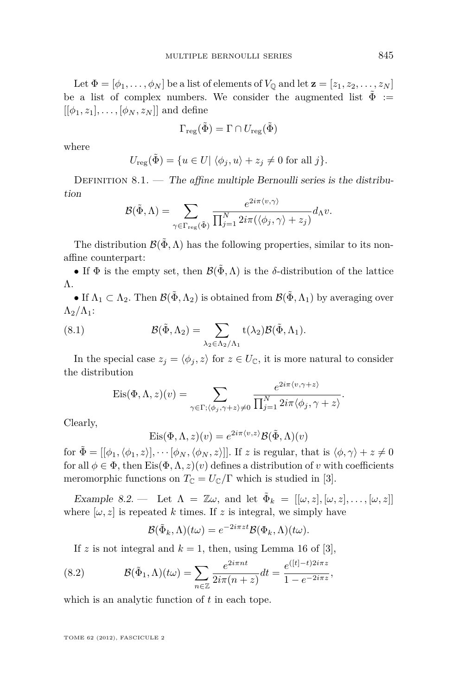<span id="page-25-0"></span>Let  $\Phi = [\phi_1, \ldots, \phi_N]$  be a list of elements of  $V_{\mathbb{Q}}$  and let  $\mathbf{z} = [z_1, z_2, \ldots, z_N]$ be a list of complex numbers. We consider the augmented list  $\tilde{\Phi}$  :=  $[$ [ $\phi_1, z_1$ ], ...,  $[\phi_N, z_N]$ ] and define

$$
\Gamma_\text{reg}(\tilde{\Phi}) = \Gamma \cap U_\text{reg}(\tilde{\Phi})
$$

where

$$
U_{\text{reg}}(\tilde{\Phi}) = \{ u \in U | \langle \phi_j, u \rangle + z_j \neq 0 \text{ for all } j \}.
$$

DEFINITION 8.1. — The *affine* multiple Bernoulli series is the distribution

$$
\mathcal{B}(\tilde{\Phi}, \Lambda) = \sum_{\gamma \in \Gamma_{\text{reg}}(\tilde{\Phi})} \frac{e^{2i\pi \langle v, \gamma \rangle}}{\prod_{j=1}^N 2i\pi (\langle \phi_j, \gamma \rangle + z_j)} d_{\Lambda}v.
$$

The distribution  $\mathcal{B}(\tilde{\Phi}, \Lambda)$  has the following properties, similar to its nonaffine counterpart:

• If  $\Phi$  is the empty set, then  $\mathcal{B}(\tilde{\Phi}, \Lambda)$  is the *δ*-distribution of the lattice Λ.

• If  $\Lambda_1 \subset \Lambda_2$ . Then  $\mathcal{B}(\tilde{\Phi}, \Lambda_2)$  is obtained from  $\mathcal{B}(\tilde{\Phi}, \Lambda_1)$  by averaging over  $\Lambda_2/\Lambda_1$ :

(8.1) 
$$
\mathcal{B}(\tilde{\Phi}, \Lambda_2) = \sum_{\lambda_2 \in \Lambda_2/\Lambda_1} \mathsf{t}(\lambda_2) \mathcal{B}(\tilde{\Phi}, \Lambda_1).
$$

In the special case  $z_j = \langle \phi_j, z \rangle$  for  $z \in U_{\mathbb{C}}$ , it is more natural to consider the distribution

$$
Eis(\Phi,\Lambda,z)(v) = \sum_{\gamma \in \Gamma; \langle \phi_j, \gamma+z \rangle \neq 0} \frac{e^{2i\pi \langle v, \gamma+z \rangle}}{\prod_{j=1}^N 2i\pi \langle \phi_j, \gamma+z \rangle}.
$$

Clearly,

$$
Eis(\Phi, \Lambda, z)(v) = e^{2i\pi \langle v, z \rangle} \mathcal{B}(\tilde{\Phi}, \Lambda)(v)
$$

for  $\tilde{\Phi} = [[\phi_1, \langle \phi_1, z \rangle], \cdots [\phi_N, \langle \phi_N, z \rangle]]$ . If *z* is regular, that is  $\langle \phi, \gamma \rangle + z \neq 0$ for all  $\phi \in \Phi$ , then Eis $(\Phi, \Lambda, z)(v)$  defines a distribution of *v* with coefficients meromorphic functions on  $T_{\mathbb{C}} = U_{\mathbb{C}}/\Gamma$  which is studied in [\[3\]](#page-37-0).

Example 8.2. — Let  $\Lambda = \mathbb{Z}\omega$ , and let  $\tilde{\Phi}_k = [[\omega, z], [\omega, z], \dots, [\omega, z]]$ where  $[\omega, z]$  is repeated *k* times. If *z* is integral, we simply have

$$
\mathcal{B}(\tilde{\Phi}_k,\Lambda)(t\omega) = e^{-2i\pi z t} \mathcal{B}(\Phi_k,\Lambda)(t\omega).
$$

If *z* is not integral and  $k = 1$ , then, using Lemma 16 of [\[3\]](#page-37-0),

(8.2) 
$$
\mathcal{B}(\tilde{\Phi}_1, \Lambda)(t\omega) = \sum_{n \in \mathbb{Z}} \frac{e^{2i\pi nt}}{2i\pi(n+z)} dt = \frac{e^{([t]-t)2i\pi z}}{1 - e^{-2i\pi z}},
$$

which is an analytic function of *t* in each tope.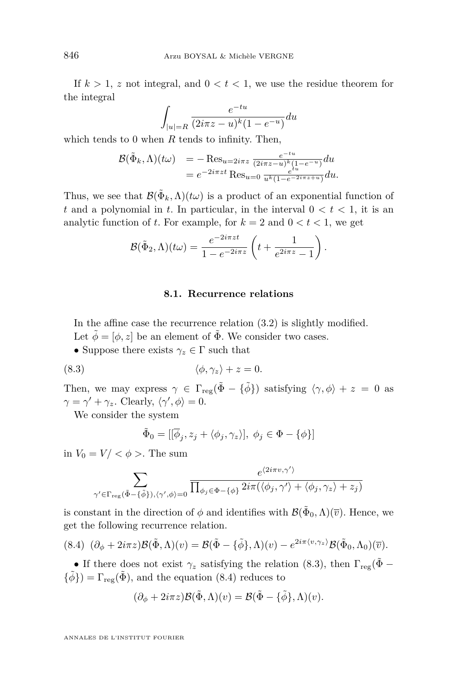<span id="page-26-0"></span>If  $k > 1$ , z not integral, and  $0 < t < 1$ , we use the residue theorem for the integral

$$
\int_{|u|=R} \frac{e^{-tu}}{(2i\pi z - u)^k (1 - e^{-u})} du
$$

which tends to 0 when *R* tends to infinity. Then,

$$
\mathcal{B}(\tilde{\Phi}_k, \Lambda)(t\omega) = -\operatorname{Res}_{u=2i\pi z} \frac{e^{-tu}}{(2i\pi z - u)^k (1 - e^{-u})} du
$$
  
= 
$$
e^{-2i\pi z t} \operatorname{Res}_{u=0} \frac{e^{tu}}{u^k (1 - e^{-2i\pi z + u})} du.
$$

Thus, we see that  $\mathcal{B}(\tilde{\Phi}_k, \Lambda)(t\omega)$  is a product of an exponential function of *t* and a polynomial in *t*. In particular, in the interval  $0 < t < 1$ , it is an analytic function of *t*. For example, for  $k = 2$  and  $0 < t < 1$ , we get

$$
\mathcal{B}(\tilde{\Phi}_2,\Lambda)(t\omega)=\frac{e^{-2i\pi z t}}{1-e^{-2i\pi z}}\left(t+\frac{1}{e^{2i\pi z}-1}\right).
$$

#### **8.1. Recurrence relations**

In the affine case the recurrence relation [\(3.2\)](#page-11-0) is slightly modified. Let  $\tilde{\phi} = [\phi, z]$  be an element of  $\tilde{\Phi}$ . We consider two cases.

• Suppose there exists  $\gamma_z \in \Gamma$  such that

(8.3) h*φ, γz*i + *z* = 0*.*

Then, we may express  $\gamma \in \Gamma_{reg}(\tilde{\Phi} - {\tilde{\phi}})$  satisfying  $\langle \gamma, \phi \rangle + z = 0$  as  $\gamma = \gamma' + \gamma_z$ . Clearly,  $\langle \gamma', \phi \rangle = 0$ .

We consider the system

$$
\tilde{\Phi}_0 = [[\overline{\phi}_j, z_j + \langle \phi_j, \gamma_z \rangle], \ \phi_j \in \Phi - \{\phi\}]
$$

in  $V_0 = V / \langle \phi \rangle$ . The sum

$$
\sum_{\gamma' \in \Gamma_{\text{reg}}(\tilde{\Phi} - \{\tilde{\phi}\}), \langle \gamma', \phi \rangle = 0} \frac{e^{\langle 2i\pi v, \gamma' \rangle}}{\prod_{\phi_j \in \Phi - \{\phi\}} 2i\pi(\langle \phi_j, \gamma' \rangle + \langle \phi_j, \gamma_z \rangle + z_j)}
$$

is constant in the direction of  $\phi$  and identifies with  $\mathcal{B}(\tilde{\Phi}_0, \Lambda)(\overline{v})$ . Hence, we get the following recurrence relation.

$$
(8.4) \ (\partial_{\phi} + 2i\pi z)\mathcal{B}(\tilde{\Phi}, \Lambda)(v) = \mathcal{B}(\tilde{\Phi} - {\tilde{\phi}}\}, \Lambda)(v) - e^{2i\pi \langle v, \gamma_z \rangle}\mathcal{B}(\tilde{\Phi}_0, \Lambda_0)(\overline{v}).
$$

• If there does not exist  $\gamma_z$  satisfying the relation (8.3), then  $\Gamma_{reg}(\tilde{\Phi} {\tilde{\phi}}$ ) =  $\Gamma_{reg}(\tilde{\Phi})$ , and the equation (8.4) reduces to

$$
(\partial_{\phi} + 2i\pi z)\mathcal{B}(\tilde{\Phi}, \Lambda)(v) = \mathcal{B}(\tilde{\Phi} - {\tilde{\phi}}\}, \Lambda)(v).
$$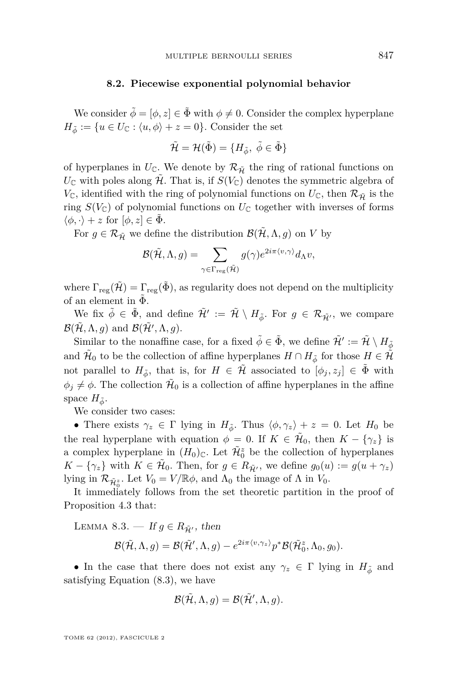#### **8.2. Piecewise exponential polynomial behavior**

<span id="page-27-0"></span>We consider  $\tilde{\phi} = [\phi, z] \in \tilde{\Phi}$  with  $\phi \neq 0$ . Consider the complex hyperplane  $H_{\tilde{\phi}} := \{u \in U_{\mathbb{C}} : \langle u, \phi \rangle + z = 0\}.$  Consider the set

$$
\tilde{\mathcal{H}}=\mathcal{H}(\tilde{\Phi})=\{H_{\tilde{\phi}},\ \tilde{\phi}\in \tilde{\Phi}\}
$$

of hyperplanes in  $U_{\mathbb{C}}$ . We denote by  $\mathcal{R}_{\tilde{\mathcal{H}}}$  the ring of rational functions on  $U_{\mathbb{C}}$  with poles along  $\tilde{\mathcal{H}}$ . That is, if  $S(V_{\mathbb{C}})$  denotes the symmetric algebra of  $V_{\mathbb{C}}$ , identified with the ring of polynomial functions on  $U_{\mathbb{C}}$ , then  $\mathcal{R}_{\tilde{\mathcal{H}}}$  is the ring  $S(V_{\mathbb{C}})$  of polynomial functions on  $U_{\mathbb{C}}$  together with inverses of forms  $\langle \phi, \cdot \rangle + z$  for  $[\phi, z] \in \Phi$ .

For  $g \in \mathcal{R}_{\tilde{\mathcal{H}}}$  we define the distribution  $\mathcal{B}(\tilde{\mathcal{H}}, \Lambda, g)$  on *V* by

$$
\mathcal{B}(\tilde{\mathcal{H}}, \Lambda, g) = \sum_{\gamma \in \Gamma_{\text{reg}}(\tilde{\mathcal{H}})} g(\gamma) e^{2i\pi \langle v, \gamma \rangle} d_{\Lambda} v,
$$

where  $\Gamma_{\text{reg}}(\tilde{\mathcal{H}}) = \Gamma_{\text{reg}}(\tilde{\Phi})$ , as regularity does not depend on the multiplicity of an element in  $\tilde{\Phi}$ .

We fix  $\tilde{\phi} \in \tilde{\Phi}$ , and define  $\tilde{\mathcal{H}}' := \tilde{\mathcal{H}} \setminus H_{\tilde{\phi}}$ . For  $g \in \mathcal{R}_{\tilde{\mathcal{H}'}}$ , we compare  $\mathcal{B}(\tilde{\mathcal{H}}, \Lambda, g)$  and  $\mathcal{B}(\tilde{\mathcal{H}}', \Lambda, g)$ .

Similar to the nonaffine case, for a fixed  $\tilde{\phi} \in \tilde{\Phi}$ , we define  $\tilde{\mathcal{H}}':=\tilde{\mathcal{H}} \setminus H_{\tilde{\phi}}$ and  $\tilde{\mathcal{H}}_0$  to be the collection of affine hyperplanes  $H \cap H_{\tilde{\phi}}$  for those  $H \in \tilde{\mathcal{H}}$ not parallel to  $H_{\tilde{\phi}}$ , that is, for  $H \in \tilde{\mathcal{H}}$  associated to  $[\phi_j, z_j] \in \tilde{\Phi}$  with  $\phi_j \neq \phi$ . The collection  $\tilde{\mathcal{H}}_0$  is a collection of affine hyperplanes in the affine space  $H_{\tilde{\phi}}$ .

We consider two cases:

• There exists  $\gamma_z \in \Gamma$  lying in  $H_{\phi}$ . Thus  $\langle \phi, \gamma_z \rangle + z = 0$ . Let  $H_0$  be the real hyperplane with equation  $\phi = 0$ . If  $K \in \tilde{\mathcal{H}}_0$ , then  $K - \{\gamma_z\}$  is a complex hyperplane in  $(H_0)_{\mathbb{C}}$ . Let  $\tilde{\mathcal{H}}_0^z$  be the collection of hyperplanes  $K - \{\gamma_z\}$  with  $K \in \tilde{\mathcal{H}}_0$ . Then, for  $g \in R_{\tilde{\mathcal{H}'}}$ , we define  $g_0(u) := g(u + \gamma_z)$ lying in  $\mathcal{R}_{\tilde{\mathcal{H}}_0^z}$ . Let  $V_0 = V / \mathbb{R}\phi$ , and  $\Lambda_0$  the image of  $\Lambda$  in  $V_0$ .

It immediately follows from the set theoretic partition in the proof of Proposition [4.3](#page-13-0) that:

LEMMA 8.3. — If  $g \in R_{\tilde{\mathcal{H}}'}$ , then

$$
\mathcal{B}(\tilde{\mathcal{H}}, \Lambda, g) = \mathcal{B}(\tilde{\mathcal{H}}', \Lambda, g) - e^{2i\pi \langle v, \gamma_z \rangle} p^* \mathcal{B}(\tilde{\mathcal{H}}_0^z, \Lambda_0, g_0).
$$

• In the case that there does not exist any  $\gamma_z \in \Gamma$  lying in  $H_{\tilde{\phi}}$  and satisfying Equation [\(8.3\)](#page-26-0), we have

$$
\mathcal{B}(\tilde{\mathcal{H}}, \Lambda, g) = \mathcal{B}(\tilde{\mathcal{H}}', \Lambda, g).
$$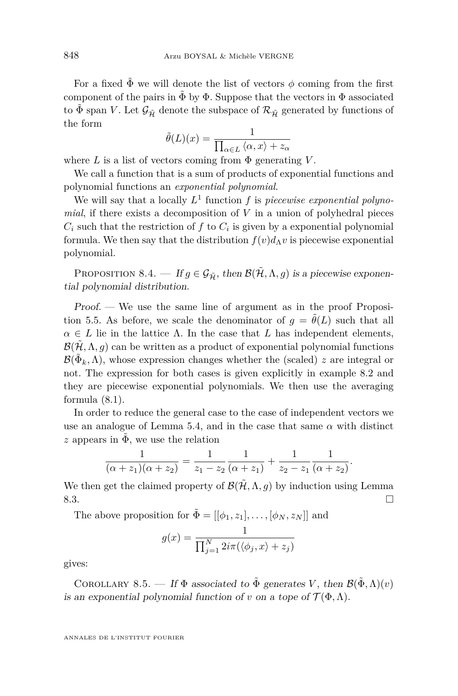For a fixed  $\tilde{\Phi}$  we will denote the list of vectors  $\phi$  coming from the first component of the pairs in  $\Phi$  by  $\Phi$ . Suppose that the vectors in  $\Phi$  associated to  $\tilde{\Phi}$  span *V*. Let  $\mathcal{G}_{\tilde{\mathcal{H}}}$  denote the subspace of  $\mathcal{R}_{\tilde{\mathcal{H}}}$  generated by functions of the form

$$
\tilde{\theta}(L)(x) = \frac{1}{\prod_{\alpha \in L} \langle \alpha, x \rangle + z_{\alpha}}
$$

where  $L$  is a list of vectors coming from  $\Phi$  generating  $V$ .

We call a function that is a sum of products of exponential functions and polynomial functions an *exponential polynomial*.

We will say that a locally *L* 1 function *f* is *piecewise exponential polynomial*, if there exists a decomposition of *V* in a union of polyhedral pieces  $C_i$  such that the restriction of  $f$  to  $C_i$  is given by a exponential polynomial formula. We then say that the distribution  $f(v)d$ <sup>*N*</sup> is piecewise exponential polynomial.

PROPOSITION 8.4. — If  $g \in \mathcal{G}_{\tilde{\mathcal{H}}}$ , then  $\mathcal{B}(\tilde{\mathcal{H}}, \Lambda, g)$  is a piecewise exponential polynomial distribution.

Proof. — We use the same line of argument as in the proof Proposi-tion [5.5.](#page-15-0) As before, we scale the denominator of  $g = \tilde{\theta}(L)$  such that all  $\alpha \in L$  lie in the lattice  $\Lambda$ . In the case that *L* has independent elements,  $\mathcal{B}(\mathcal{H}, \Lambda, g)$  can be written as a product of exponential polynomial functions  $\mathcal{B}(\tilde{\Phi}_k, \Lambda)$ , whose expression changes whether the (scaled) *z* are integral or not. The expression for both cases is given explicitly in example [8.2](#page-25-0) and they are piecewise exponential polynomials. We then use the averaging formula [\(8.1\)](#page-25-0).

In order to reduce the general case to the case of independent vectors we use an analogue of Lemma [5.4,](#page-15-0) and in the case that same  $\alpha$  with distinct *z* appears in  $\Phi$ , we use the relation

$$
\frac{1}{(\alpha + z_1)(\alpha + z_2)} = \frac{1}{z_1 - z_2} \frac{1}{(\alpha + z_1)} + \frac{1}{z_2 - z_1} \frac{1}{(\alpha + z_2)}.
$$

We then get the claimed property of  $\mathcal{B}(\mathcal{H}, \Lambda, g)$  by induction using Lemma  $8.3.$ 

The above proposition for  $\tilde{\Phi} = [[\phi_1, z_1], \dots, [\phi_N, z_N]]$  and

$$
g(x) = \frac{1}{\prod_{j=1}^{N} 2i\pi(\langle \phi_j, x \rangle + z_j)}
$$

gives:

COROLLARY 8.5. — If  $\Phi$  associated to  $\tilde{\Phi}$  generates *V*, then  $\mathcal{B}(\tilde{\Phi}, \Lambda)(v)$ is an exponential polynomial function of *v* on a tope of  $\mathcal{T}(\Phi,\Lambda)$ .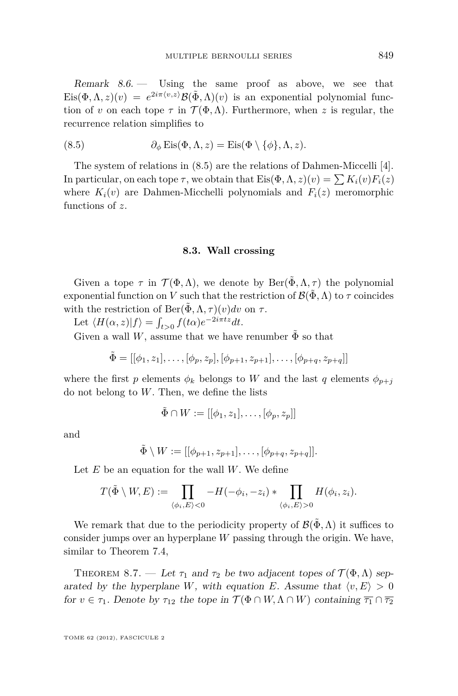<span id="page-29-0"></span>Remark  $8.6.$  Using the same proof as above, we see that  $\text{Eis}(\Phi,\Lambda,z)(v) = e^{2i\pi \langle v,z \rangle} \mathcal{B}(\tilde{\Phi},\Lambda)(v)$  is an exponential polynomial function of *v* on each tope  $\tau$  in  $\mathcal{T}(\Phi,\Lambda)$ . Furthermore, when *z* is regular, the recurrence relation simplifies to

(8.5) 
$$
\partial_{\phi} \operatorname{Eis}(\Phi, \Lambda, z) = \operatorname{Eis}(\Phi \setminus \{\phi\}, \Lambda, z).
$$

The system of relations in (8.5) are the relations of Dahmen-Miccelli [\[4\]](#page-37-0). In particular, on each tope  $\tau$ , we obtain that  $Eis(\Phi, \Lambda, z)(v) = \sum K_i(v) F_i(z)$ where  $K_i(v)$  are Dahmen-Micchelli polynomials and  $F_i(z)$  meromorphic functions of *z*.

#### **8.3. Wall crossing**

Given a tope  $\tau$  in  $\mathcal{T}(\Phi,\Lambda)$ , we denote by  $\text{Ber}(\tilde{\Phi},\Lambda,\tau)$  the polynomial exponential function on *V* such that the restriction of  $\mathcal{B}(\Phi,\Lambda)$  to  $\tau$  coincides with the restriction of  $\text{Ber}(\Phi, \Lambda, \tau)(v)dv$  on  $\tau$ .

Let  $\langle H(\alpha, z)|f \rangle = \int_{t>0}^{\infty} f(t\alpha)e^{-2i\pi tz}dt$ .

Given a wall *W*, assume that we have renumber  $\tilde{\Phi}$  so that

$$
\tilde{\Phi} = [[\phi_1, z_1], \dots, [\phi_p, z_p], [\phi_{p+1}, z_{p+1}], \dots, [\phi_{p+q}, z_{p+q}]]
$$

where the first *p* elements  $\phi_k$  belongs to *W* and the last *q* elements  $\phi_{p+1}$ do not belong to *W*. Then, we define the lists

$$
\tilde{\Phi} \cap W := [[\phi_1, z_1], \dots, [\phi_p, z_p]]
$$

and

$$
\tilde{\Phi} \setminus W := [[\phi_{p+1}, z_{p+1}], \dots, [\phi_{p+q}, z_{p+q}]].
$$

Let *E* be an equation for the wall *W*. We define

$$
T(\tilde{\Phi}\setminus W,E):=\prod_{\langle\phi_i,E\rangle<0}-H(-\phi_i,-z_i)*\prod_{\langle\phi_i,E\rangle>0}H(\phi_i,z_i).
$$

We remark that due to the periodicity property of  $\mathcal{B}(\Phi,\Lambda)$  it suffices to consider jumps over an hyperplane *W* passing through the origin. We have, similar to Theorem [7.4,](#page-21-0)

THEOREM 8.7. — Let  $\tau_1$  and  $\tau_2$  be two adjacent topes of  $\mathcal{T}(\Phi,\Lambda)$  separated by the hyperplane *W*, with equation *E*. Assume that  $\langle v, E \rangle > 0$ for  $v \in \tau_1$ . Denote by  $\tau_{12}$  the tope in  $\mathcal{T}(\Phi \cap W, \Lambda \cap W)$  containing  $\overline{\tau_1} \cap \overline{\tau_2}$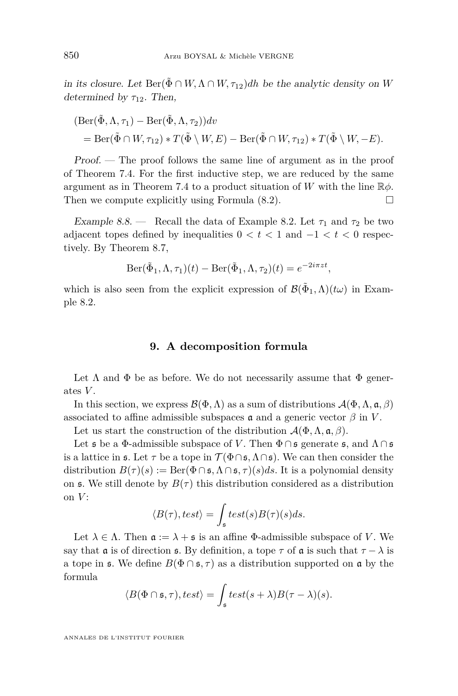<span id="page-30-0"></span>in its closure. Let  $\text{Ber}(\tilde{\Phi} \cap W, \Lambda \cap W, \tau_{12})$ *dh* be the analytic density on *W* determined by  $\tau_{12}$ . Then,

$$
(\text{Ber}(\tilde{\Phi}, \Lambda, \tau_1) - \text{Ber}(\tilde{\Phi}, \Lambda, \tau_2))dv
$$
  
= Ber(\tilde{\Phi} \cap W, \tau\_{12}) \* T(\tilde{\Phi} \setminus W, E) - Ber(\tilde{\Phi} \cap W, \tau\_{12}) \* T(\tilde{\Phi} \setminus W, -E).

Proof. — The proof follows the same line of argument as in the proof of Theorem [7.4.](#page-21-0) For the first inductive step, we are reduced by the same argument as in Theorem [7.4](#page-21-0) to a product situation of *W* with the line R*φ*. Then we compute explicitly using Formula  $(8.2)$ .

Example 8.8. — Recall the data of Example [8.2.](#page-25-0) Let  $\tau_1$  and  $\tau_2$  be two adjacent topes defined by inequalities  $0 < t < 1$  and  $-1 < t < 0$  respectively. By Theorem [8.7,](#page-29-0)

$$
\mathrm{Ber}(\tilde{\Phi}_1, \Lambda, \tau_1)(t) - \mathrm{Ber}(\tilde{\Phi}_1, \Lambda, \tau_2)(t) = e^{-2i\pi z t},
$$

which is also seen from the explicit expression of  $\mathcal{B}(\tilde{\Phi}_1, \Lambda)(t\omega)$  in Example [8.2.](#page-25-0)

#### **9. A decomposition formula**

Let  $\Lambda$  and  $\Phi$  be as before. We do not necessarily assume that  $\Phi$  generates *V* .

In this section, we express  $\mathcal{B}(\Phi,\Lambda)$  as a sum of distributions  $\mathcal{A}(\Phi,\Lambda,\mathfrak{a},\beta)$ associated to affine admissible subspaces  $\mathfrak a$  and a generic vector  $\beta$  in *V*.

Let us start the construction of the distribution  $\mathcal{A}(\Phi,\Lambda,\mathfrak{a},\beta)$ .

Let  $\mathfrak s$  be a  $\Phi$ -admissible subspace of *V*. Then  $\Phi \cap \mathfrak s$  generate  $\mathfrak s$ , and  $\Lambda \cap \mathfrak s$ is a lattice in  $\mathfrak{s}$ . Let  $\tau$  be a tope in  $\mathcal{T}(\Phi \cap \mathfrak{s}, \Lambda \cap \mathfrak{s})$ . We can then consider the distribution  $B(\tau)(s) := \text{Ber}(\Phi \cap \mathfrak{s}, \Lambda \cap \mathfrak{s}, \tau)(s) ds$ . It is a polynomial density on  $\mathfrak s$ . We still denote by  $B(\tau)$  this distribution considered as a distribution on  $V$ :

$$
\langle B(\tau), test \rangle = \int_{\mathfrak{s}} test(s)B(\tau)(s)ds.
$$

Let  $\lambda \in \Lambda$ . Then  $\mathfrak{a} := \lambda + \mathfrak{s}$  is an affine  $\Phi$ -admissible subspace of *V*. We say that  $\alpha$  is of direction  $\beta$ . By definition, a tope  $\tau$  of  $\alpha$  is such that  $\tau - \lambda$  is a tope in  $\mathfrak{s}$ . We define  $B(\Phi \cap \mathfrak{s}, \tau)$  as a distribution supported on  $\mathfrak{a}$  by the formula

$$
\langle B(\Phi \cap \mathfrak{s}, \tau), test \rangle = \int_{\mathfrak{s}} test(s + \lambda)B(\tau - \lambda)(s).
$$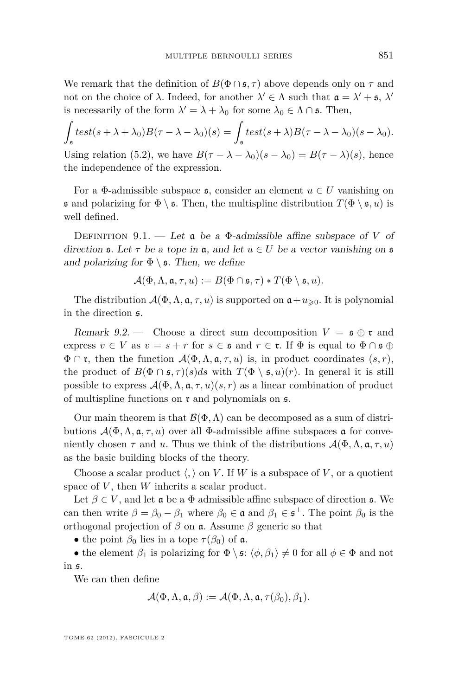We remark that the definition of  $B(\Phi \cap \mathfrak{s}, \tau)$  above depends only on  $\tau$  and not on the choice of  $\lambda$ . Indeed, for another  $\lambda' \in \Lambda$  such that  $\mathfrak{a} = \lambda' + \mathfrak{s}, \lambda'$ is necessarily of the form  $\lambda' = \lambda + \lambda_0$  for some  $\lambda_0 \in \Lambda \cap \mathfrak{s}$ . Then,

$$
\int_{\mathfrak{s}} test(s + \lambda + \lambda_0) B(\tau - \lambda - \lambda_0)(s) = \int_{\mathfrak{s}} test(s + \lambda) B(\tau - \lambda - \lambda_0)(s - \lambda_0).
$$
  
Using relation (5.2), we have  $B(\tau - \lambda - \lambda_0)(s - \lambda_0) = B(\tau - \lambda)(s)$ , hence

 $B(\tau - \lambda - \lambda_0)(s - \lambda_0) = B(\tau - \lambda)(s)$ , hence the independence of the expression.

For a  $\Phi$ -admissible subspace  $\mathfrak{s}$ , consider an element  $u \in U$  vanishing on **s** and polarizing for  $\Phi \setminus \mathfrak{s}$ . Then, the multispline distribution  $T(\Phi \setminus \mathfrak{s}, u)$  is well defined.

DEFINITION 9.1. — Let  $\mathfrak a$  be a  $\Phi$ -admissible affine subspace of *V* of direction **s**. Let  $\tau$  be a tope in **a**, and let  $u \in U$  be a vector vanishing on **s** and polarizing for  $\Phi \setminus \mathfrak{s}$ . Then, we define

$$
\mathcal{A}(\Phi,\Lambda,\mathfrak{a},\tau,u):=B(\Phi\cap \mathfrak{s},\tau)\ast T(\Phi\setminus \mathfrak{s},u).
$$

The distribution  $\mathcal{A}(\Phi,\Lambda,\mathfrak{a},\tau,u)$  is supported on  $\mathfrak{a}+u_{\geqslant0}$ . It is polynomial in the direction s.

Remark 9.2. — Choose a direct sum decomposition  $V = \mathfrak{s} \oplus \mathfrak{r}$  and express  $v \in V$  as  $v = s + r$  for  $s \in \mathfrak{s}$  and  $r \in \mathfrak{r}$ . If  $\Phi$  is equal to  $\Phi \cap \mathfrak{s} \oplus \Phi$  $\Phi \cap \mathfrak{r}$ , then the function  $\mathcal{A}(\Phi,\Lambda,\mathfrak{a},\tau,u)$  is, in product coordinates  $(s,r)$ , the product of  $B(\Phi \cap \mathfrak{s}, \tau)(s)ds$  with  $T(\Phi \setminus \mathfrak{s}, u)(r)$ . In general it is still possible to express  $\mathcal{A}(\Phi,\Lambda,\mathfrak{a},\tau,u)(s,r)$  as a linear combination of product of multispline functions on  $\mathfrak r$  and polynomials on  $\mathfrak s$ .

Our main theorem is that  $\mathcal{B}(\Phi,\Lambda)$  can be decomposed as a sum of distributions  $\mathcal{A}(\Phi,\Lambda,\mathfrak{a},\tau,u)$  over all  $\Phi$ -admissible affine subspaces **a** for conveniently chosen  $\tau$  and *u*. Thus we think of the distributions  $\mathcal{A}(\Phi, \Lambda, \mathfrak{a}, \tau, u)$ as the basic building blocks of the theory.

Choose a scalar product  $\langle , \rangle$  on *V*. If *W* is a subspace of *V*, or a quotient space of *V*, then *W* inherits a scalar product.

Let  $\beta \in V$ , and let **a** be a  $\Phi$  admissible affine subspace of direction **s**. We can then write  $\beta = \beta_0 - \beta_1$  where  $\beta_0 \in \mathfrak{a}$  and  $\beta_1 \in \mathfrak{s}^{\perp}$ . The point  $\beta_0$  is the orthogonal projection of *β* on a. Assume *β* generic so that

• the point  $\beta_0$  lies in a tope  $\tau(\beta_0)$  of a.

• the element  $\beta_1$  is polarizing for  $\Phi \setminus \mathfrak{s}: \langle \phi, \beta_1 \rangle \neq 0$  for all  $\phi \in \Phi$  and not in s.

We can then define

$$
\mathcal{A}(\Phi,\Lambda,\mathfrak{a},\beta):=\mathcal{A}(\Phi,\Lambda,\mathfrak{a},\tau(\beta_0),\beta_1).
$$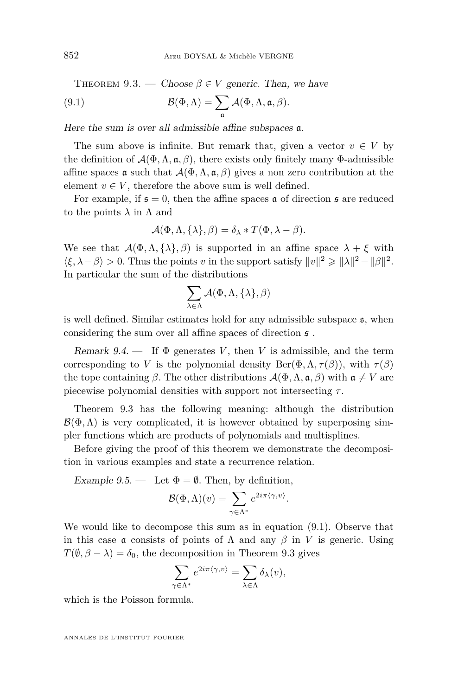<span id="page-32-0"></span>THEOREM 9.3. — Choose  $\beta \in V$  generic. Then, we have

(9.1) 
$$
\mathcal{B}(\Phi,\Lambda)=\sum_{\mathfrak{a}}\mathcal{A}(\Phi,\Lambda,\mathfrak{a},\beta).
$$

Here the sum is over all admissible affine subspaces a.

The sum above is infinite. But remark that, given a vector  $v \in V$  by the definition of  $\mathcal{A}(\Phi,\Lambda,\mathfrak{a},\beta)$ , there exists only finitely many  $\Phi$ -admissible affine spaces **a** such that  $\mathcal{A}(\Phi,\Lambda,\mathfrak{a},\beta)$  gives a non zero contribution at the element  $v \in V$ , therefore the above sum is well defined.

For example, if  $\mathfrak{s} = 0$ , then the affine spaces  $\mathfrak{a}$  of direction  $\mathfrak{s}$  are reduced to the points  $\lambda$  in  $\Lambda$  and

$$
\mathcal{A}(\Phi,\Lambda,\{\lambda\},\beta)=\delta_{\lambda}*T(\Phi,\lambda-\beta).
$$

We see that  $\mathcal{A}(\Phi, \Lambda, \{\lambda\}, \beta)$  is supported in an affine space  $\lambda + \xi$  with  $\langle \xi, \lambda - \beta \rangle > 0$ . Thus the points *v* in the support satisfy  $||v||^2 \ge ||\lambda||^2 - ||\beta||^2$ . In particular the sum of the distributions

$$
\sum_{\lambda\in\Lambda}\mathcal{A}(\Phi,\Lambda,\{\lambda\},\beta)
$$

is well defined. Similar estimates hold for any admissible subspace s, when considering the sum over all affine spaces of direction s .

Remark  $9.4.$  — If  $\Phi$  generates *V*, then *V* is admissible, and the term corresponding to *V* is the polynomial density  $\text{Ber}(\Phi, \Lambda, \tau(\beta))$ , with  $\tau(\beta)$ the tope containing  $\beta$ . The other distributions  $\mathcal{A}(\Phi, \Lambda, \mathfrak{a}, \beta)$  with  $\mathfrak{a} \neq V$  are piecewise polynomial densities with support not intersecting *τ* .

Theorem 9.3 has the following meaning: although the distribution  $\mathcal{B}(\Phi,\Lambda)$  is very complicated, it is however obtained by superposing simpler functions which are products of polynomials and multisplines.

Before giving the proof of this theorem we demonstrate the decomposition in various examples and state a recurrence relation.

Example 9.5. — Let  $\Phi = \emptyset$ . Then, by definition,

$$
\mathcal{B}(\Phi,\Lambda)(v) = \sum_{\gamma \in \Lambda^*} e^{2i\pi \langle \gamma,v \rangle}.
$$

We would like to decompose this sum as in equation (9.1). Observe that in this case **a** consists of points of  $\Lambda$  and any  $\beta$  in *V* is generic. Using  $T(\emptyset, \beta - \lambda) = \delta_0$ , the decomposition in Theorem 9.3 gives

$$
\sum_{\gamma \in \Lambda^*} e^{2i\pi \langle \gamma, v \rangle} = \sum_{\lambda \in \Lambda} \delta_{\lambda}(v),
$$

which is the Poisson formula.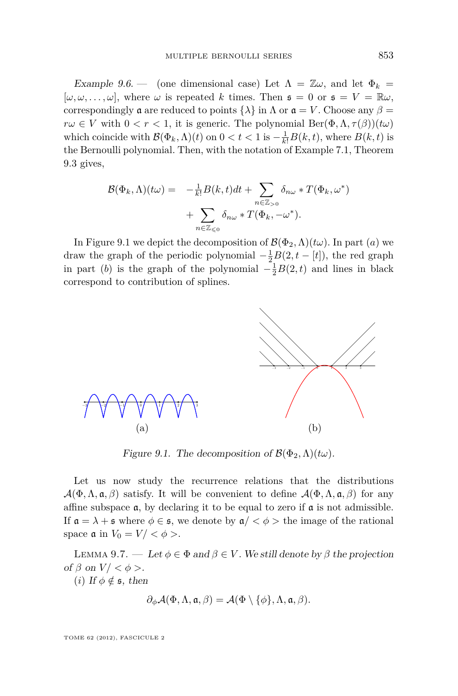<span id="page-33-0"></span>Example 9.6. — (one dimensional case) Let  $\Lambda = \mathbb{Z}\omega$ , and let  $\Phi_k =$  $[\omega, \omega, \ldots, \omega]$ , where  $\omega$  is repeated *k* times. Then  $\mathfrak{s} = 0$  or  $\mathfrak{s} = V = \mathbb{R}\omega$ , correspondingly  $\alpha$  are reduced to points  $\{\lambda\}$  in  $\Lambda$  or  $\alpha = V$ . Choose any  $\beta =$  $r\omega \in V$  with  $0 < r < 1$ , it is generic. The polynomial  $\text{Ber}(\Phi, \Lambda, \tau(\beta))(t\omega)$ which coincide with  $\mathcal{B}(\Phi_k, \Lambda)(t)$  on  $0 < t < 1$  is  $-\frac{1}{k!}B(k, t)$ , where  $B(k, t)$  is the Bernoulli polynomial. Then, with the notation of Example [7.1,](#page-20-0) Theorem [9.3](#page-32-0) gives,

$$
\mathcal{B}(\Phi_k, \Lambda)(t\omega) = -\frac{1}{k!}B(k, t)dt + \sum_{n \in \mathbb{Z}_{>0}} \delta_{n\omega} * T(\Phi_k, \omega^*)
$$

$$
+ \sum_{n \in \mathbb{Z}_{\leq 0}} \delta_{n\omega} * T(\Phi_k, -\omega^*).
$$

In Figure 9.1 we depict the decomposition of  $\mathcal{B}(\Phi_2, \Lambda)(t\omega)$ . In part (*a*) we draw the graph of the periodic polynomial  $-\frac{1}{2}B(2,t-[t])$ , the red graph in part (*b*) is the graph of the polynomial  $-\frac{1}{2}B(2,t)$  and lines in black correspond to contribution of splines.



Figure 9.1. The decomposition of  $\mathcal{B}(\Phi_2, \Lambda)(t\omega)$ .

Let us now study the recurrence relations that the distributions  $\mathcal{A}(\Phi,\Lambda,\mathfrak{a},\beta)$  satisfy. It will be convenient to define  $\mathcal{A}(\Phi,\Lambda,\mathfrak{a},\beta)$  for any affine subspace  $\mathfrak a$ , by declaring it to be equal to zero if  $\mathfrak a$  is not admissible. If  $\mathfrak{a} = \lambda + \mathfrak{s}$  where  $\phi \in \mathfrak{s}$ , we denote by  $\mathfrak{a} / \langle \phi \rangle$  the image of the rational space  $\mathfrak a$  in  $V_0 = V / < \phi >$ .

LEMMA 9.7. — Let  $\phi \in \Phi$  and  $\beta \in V$ . We still denote by  $\beta$  the projection of  $\beta$  on  $V' < \phi >$ .

(*i*) If  $\phi \notin \mathfrak{s}$ , then

$$
\partial_{\phi}\mathcal{A}(\Phi,\Lambda,\mathfrak{a},\beta)=\mathcal{A}(\Phi\setminus\{\phi\},\Lambda,\mathfrak{a},\beta).
$$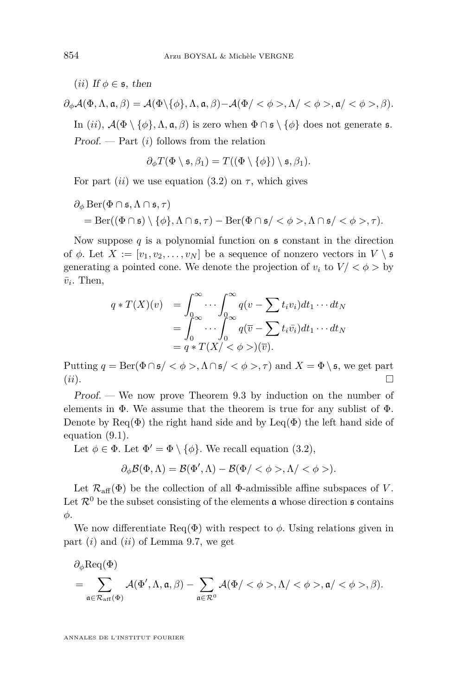(*ii*) If  $\phi \in \mathfrak{s}$ , then

 $\partial_{\phi}A(\Phi, \Lambda, \mathfrak{a}, \beta) = A(\Phi \setminus \{\phi\}, \Lambda, \mathfrak{a}, \beta) - A(\Phi \setminus \{\phi\}, \Lambda \setminus \phi, \phi \setminus \mathfrak{a}, \phi \setminus \phi \setminus \beta).$ In (*ii*),  $\mathcal{A}(\Phi \setminus \{\phi\}, \Lambda, \mathfrak{a}, \beta)$  is zero when  $\Phi \cap \mathfrak{s} \setminus \{\phi\}$  does not generate  $\mathfrak{s}$ . Proof. — Part (*i*) follows from the relation

$$
\partial_{\phi} T(\Phi \setminus \mathfrak{s}, \beta_1) = T((\Phi \setminus \{\phi\}) \setminus \mathfrak{s}, \beta_1).
$$

For part (*ii*) we use equation [\(3.2\)](#page-11-0) on  $\tau$ , which gives

$$
\partial_{\phi} \operatorname{Ber}(\Phi \cap \mathfrak{s}, \Lambda \cap \mathfrak{s}, \tau)
$$
  
= Ber(( $\Phi \cap \mathfrak{s}$ ) \{ $\phi\}$ ,  $\Lambda \cap \mathfrak{s}, \tau$ ) - Ber( $\Phi \cap \mathfrak{s}$ /  $\phi$  >,  $\Lambda \cap \mathfrak{s}$ /  $\phi$  >,  $\tau$ ).

Now suppose  $q$  is a polynomial function on  $\mathfrak s$  constant in the direction of  $\phi$ . Let  $X := [v_1, v_2, \dots, v_N]$  be a sequence of nonzero vectors in  $V \setminus \mathfrak{s}$ generating a pointed cone. We denote the projection of  $v_i$  to  $V / \langle \phi \rangle$  by  $\bar{v}_i$ . Then,

$$
q * T(X)(v) = \int_0^\infty \cdots \int_0^\infty q(v - \sum t_i v_i) dt_1 \cdots dt_N
$$
  
= 
$$
\int_0^\infty \cdots \int_0^\infty q(\overline{v} - \sum t_i \overline{v_i}) dt_1 \cdots dt_N
$$
  
= 
$$
q * T(X) < \phi >)(\overline{v}).
$$

Putting  $q = \text{Ber}(\Phi \cap \mathfrak{s} / \langle \phi \rangle, \Lambda \cap \mathfrak{s} / \langle \phi \rangle, \tau)$  and  $X = \Phi \setminus \mathfrak{s}$ , we get part (*ii*).

Proof. — We now prove Theorem [9.3](#page-32-0) by induction on the number of elements in  $\Phi$ . We assume that the theorem is true for any sublist of  $\Phi$ . Denote by Req( $\Phi$ ) the right hand side and by Leq( $\Phi$ ) the left hand side of equation [\(9.1\)](#page-32-0).

Let  $\phi \in \Phi$ . Let  $\Phi' = \Phi \setminus {\phi}$ . We recall equation [\(3.2\)](#page-11-0),

$$
\partial_{\phi}\mathcal{B}(\Phi,\Lambda)=\mathcal{B}(\Phi',\Lambda)-\mathcal{B}(\Phi/<\phi>,\Lambda/<\phi>.
$$

Let  $\mathcal{R}_{\text{aff}}(\Phi)$  be the collection of all  $\Phi$ -admissible affine subspaces of *V*. Let  $\mathcal{R}^0$  be the subset consisting of the elements  $\mathfrak a$  whose direction  $\mathfrak s$  contains *φ*.

We now differentiate  $\text{Req}(\Phi)$  with respect to  $\phi$ . Using relations given in part (*i*) and (*ii*) of Lemma [9.7,](#page-33-0) we get

$$
\begin{aligned} &\partial_\phi\mathrm{Req}(\Phi)\\ &=\sum_{\mathfrak{a}\in\mathcal{R}_{\mathrm{aff}}(\Phi)}\mathcal{A}(\Phi',\Lambda,\mathfrak{a},\beta)-\sum_{\mathfrak{a}\in\mathcal{R}^0}\mathcal{A}(\Phi/<\phi>,\Lambda/<\phi>,\mathfrak{a}/<\phi>,\beta).\end{aligned}
$$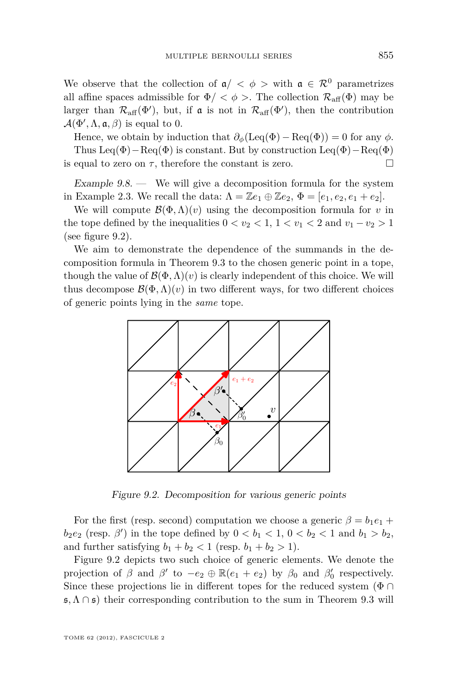<span id="page-35-0"></span>We observe that the collection of  $a / < \phi$  > with  $a \in \mathcal{R}^0$  parametrizes all affine spaces admissible for  $\Phi$ / <  $\phi$  >. The collection  $\mathcal{R}_{\text{aff}}(\Phi)$  may be larger than  $\mathcal{R}_{\text{aff}}(\Phi')$ , but, if  $\mathfrak{a}$  is not in  $\mathcal{R}_{\text{aff}}(\Phi')$ , then the contribution  $\mathcal{A}(\Phi', \Lambda, \mathfrak{a}, \beta)$  is equal to 0.

Hence, we obtain by induction that  $\partial_{\phi}(\text{Leq}(\Phi) - \text{Req}(\Phi)) = 0$  for any  $\phi$ . Thus Leq( $\Phi$ ) – Req( $\Phi$ ) is constant. But by construction Leq( $\Phi$ ) – Req( $\Phi$ ) is equal to zero on  $\tau$ , therefore the constant is zero.

Example  $9.8$  — We will give a decomposition formula for the system in Example [2.3.](#page-10-0) We recall the data:  $\Lambda = \mathbb{Z}e_1 \oplus \mathbb{Z}e_2$ ,  $\Phi = [e_1, e_2, e_1 + e_2]$ .

We will compute  $\mathcal{B}(\Phi,\Lambda)(v)$  using the decomposition formula for *v* in the tope defined by the inequalities  $0 < v_2 < 1$ ,  $1 < v_1 < 2$  and  $v_1 - v_2 > 1$ (see figure 9.2).

We aim to demonstrate the dependence of the summands in the decomposition formula in Theorem [9.3](#page-32-0) to the chosen generic point in a tope, though the value of  $\mathcal{B}(\Phi,\Lambda)(v)$  is clearly independent of this choice. We will thus decompose  $\mathcal{B}(\Phi,\Lambda)(v)$  in two different ways, for two different choices of generic points lying in the *same* tope.



Figure 9.2. Decomposition for various generic points

For the first (resp. second) computation we choose a generic  $\beta = b_1 e_1 + b_2 e_2$  $b_2e_2$  (resp. *β*<sup>*l*</sup>) in the tope defined by  $0 < b_1 < 1$ ,  $0 < b_2 < 1$  and  $b_1 > b_2$ , and further satisfying  $b_1 + b_2 < 1$  (resp.  $b_1 + b_2 > 1$ ).

Figure 9.2 depicts two such choice of generic elements. We denote the projection of  $\beta$  and  $\beta'$  to  $-e_2 \oplus \mathbb{R}(e_1 + e_2)$  by  $\beta_0$  and  $\beta'_0$  respectively. Since these projections lie in different topes for the reduced system ( $\Phi \cap$ s*,*Λ ∩ s) their corresponding contribution to the sum in Theorem [9.3](#page-32-0) will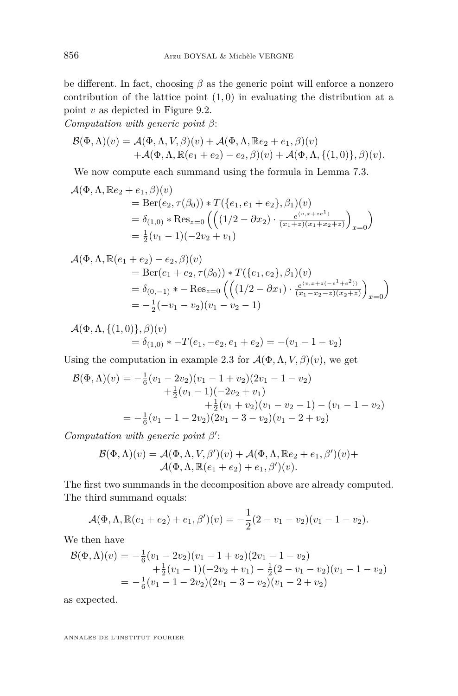be different. In fact, choosing  $\beta$  as the generic point will enforce a nonzero contribution of the lattice point (1*,* 0) in evaluating the distribution at a point *v* as depicted in Figure [9.2.](#page-35-0)

*Computation with generic point β*:

$$
\mathcal{B}(\Phi,\Lambda)(v) = \mathcal{A}(\Phi,\Lambda,V,\beta)(v) + \mathcal{A}(\Phi,\Lambda,\mathbb{R}e_2 + e_1,\beta)(v) + \mathcal{A}(\Phi,\Lambda,\mathbb{R}(e_1 + e_2) - e_2,\beta)(v) + \mathcal{A}(\Phi,\Lambda,\{(1,0)\},\beta)(v).
$$

We now compute each summand using the formula in Lemma [7.3.](#page-21-0)

$$
\mathcal{A}(\Phi,\Lambda,\mathbb{R}e_2+e_1,\beta)(v) \n= Ber(e_2,\tau(\beta_0)) * T(\{e_1,e_1+e_2\},\beta_1)(v) \n= \delta_{(1,0)} * Res_{z=0} ((1/2 - \partial x_2) \cdot \frac{e^{\langle v,x+ze^1 \rangle}}{(x_1+z)(x_1+x_2+z)})_{x=0}) \n= \frac{1}{2}(v_1 - 1)(-2v_2 + v_1)
$$

$$
\mathcal{A}(\Phi,\Lambda,\mathbb{R}(e_1+e_2)-e_2,\beta)(v)
$$
  
= Ber(e<sub>1</sub> + e<sub>2</sub>,  $\tau(\beta_0)$ ) \* T({e<sub>1</sub>, e<sub>2</sub>},  $\beta_1$ )(v)  
=  $\delta_{(0,-1)}$  \* - Res<sub>z=0</sub>  $\left(\left((1/2 - \partial x_1) \cdot \frac{e^{(v,x+z(-e^1+e^2))}}{(x_1-x_2-z)(x_2+z)}\right)_{x=0}\right)$   
=  $-\frac{1}{2}(-v_1-v_2)(v_1-v_2-1)$ 

$$
\mathcal{A}(\Phi,\Lambda,\{(1,0)\},\beta)(v) = \delta_{(1,0)} * -T(e_1,-e_2,e_1+e_2) = -(v_1-1-v_2)
$$

Using the computation in example [2.3](#page-10-0) for  $\mathcal{A}(\Phi,\Lambda,V,\beta)(v)$ , we get

$$
\mathcal{B}(\Phi,\Lambda)(v) = -\frac{1}{6}(v_1 - 2v_2)(v_1 - 1 + v_2)(2v_1 - 1 - v_2) \n+ \frac{1}{2}(v_1 - 1)(-2v_2 + v_1) \n+ \frac{1}{2}(v_1 + v_2)(v_1 - v_2 - 1) - (v_1 - 1 - v_2) \n= -\frac{1}{6}(v_1 - 1 - 2v_2)(2v_1 - 3 - v_2)(v_1 - 2 + v_2)
$$

*Computation with generic point*  $β'$ :

$$
\mathcal{B}(\Phi,\Lambda)(v) = \mathcal{A}(\Phi,\Lambda,V,\beta')(v) + \mathcal{A}(\Phi,\Lambda,\mathbb{R}e_2 + e_1,\beta')(v) + \mathcal{A}(\Phi,\Lambda,\mathbb{R}(e_1 + e_2) + e_1,\beta')(v).
$$

The first two summands in the decomposition above are already computed. The third summand equals:

$$
\mathcal{A}(\Phi,\Lambda,\mathbb{R}(e_1+e_2)+e_1,\beta')(v)=-\frac{1}{2}(2-v_1-v_2)(v_1-1-v_2).
$$

We then have

$$
\mathcal{B}(\Phi,\Lambda)(v) = -\frac{1}{6}(v_1 - 2v_2)(v_1 - 1 + v_2)(2v_1 - 1 - v_2) \n+ \frac{1}{2}(v_1 - 1)(-2v_2 + v_1) - \frac{1}{2}(2 - v_1 - v_2)(v_1 - 1 - v_2) \n= -\frac{1}{6}(v_1 - 1 - 2v_2)(2v_1 - 3 - v_2)(v_1 - 2 + v_2)
$$

as expected.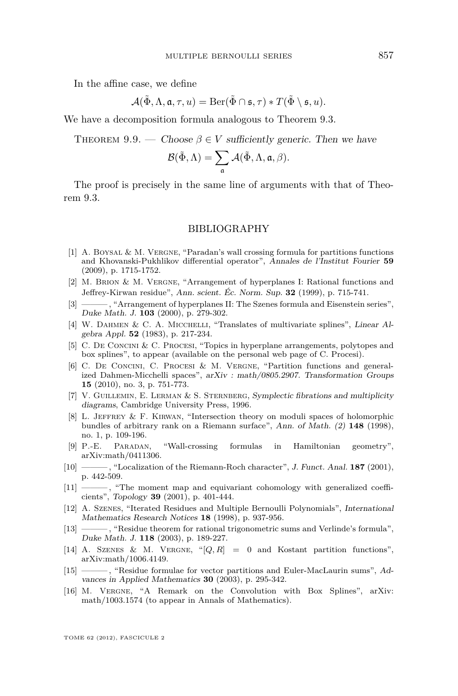<span id="page-37-0"></span>In the affine case, we define

$$
\mathcal{A}(\tilde{\Phi}, \Lambda, \mathfrak{a}, \tau, u) = \mathrm{Ber}(\tilde{\Phi} \cap \mathfrak{s}, \tau) * T(\tilde{\Phi} \setminus \mathfrak{s}, u).
$$

We have a decomposition formula analogous to Theorem [9.3.](#page-32-0)

THEOREM 9.9. — Choose  $\beta \in V$  sufficiently generic. Then we have

$$
\mathcal{B}(\tilde{\Phi}, \Lambda) = \sum_{\mathfrak{a}} \mathcal{A}(\tilde{\Phi}, \Lambda, \mathfrak{a}, \beta).
$$

The proof is precisely in the same line of arguments with that of Theorem [9.3.](#page-32-0)

#### BIBLIOGRAPHY

- [1] A. BOYSAL & M. VERGNE, "Paradan's wall crossing formula for partitions functions and Khovanski-Pukhlikov differential operator", Annales de l'Institut Fourier **59** (2009), p. 1715-1752.
- [2] M. Brion & M. Vergne, "Arrangement of hyperplanes I: Rational functions and Jeffrey-Kirwan residue", Ann. scient. Éc. Norm. Sup. **32** (1999), p. 715-741.
- [3] ——— , "Arrangement of hyperplanes II: The Szenes formula and Eisenstein series", Duke Math. J. **103** (2000), p. 279-302.
- [4] W. DAHMEN & C. A. MICCHELLI, "Translates of multivariate splines", Linear Algebra Appl. **52** (1983), p. 217-234.
- [5] C. De Concini & C. Procesi, "Topics in hyperplane arrangements, polytopes and box splines", to appear (available on the personal web page of C. Procesi).
- [6] C. De Concini, C. Procesi & M. Vergne, "Partition functions and generalized Dahmen-Micchelli spaces", arXiv : math/0805.2907. Transformation Groups **15** (2010), no. 3, p. 751-773.
- [7] V. Guillemin, E. Lerman & S. Sternberg, Symplectic fibrations and multiplicity diagrams, Cambridge University Press, 1996.
- [8] L. JEFFREY & F. KIRWAN, "Intersection theory on moduli spaces of holomorphic bundles of arbitrary rank on a Riemann surface", Ann. of Math. (2) **148** (1998), no. 1, p. 109-196.
- [9] P.-E. Paradan, "Wall-crossing formulas in Hamiltonian geometry", arXiv:math/0411306.
- [10] ——— , "Localization of the Riemann-Roch character", J. Funct. Anal. **187** (2001), p. 442-509.
- [11] ——— , "The moment map and equivariant cohomology with generalized coefficients", Topology **39** (2001), p. 401-444.
- [12] A. Szenes, "Iterated Residues and Multiple Bernoulli Polynomials", International Mathematics Research Notices **18** (1998), p. 937-956.
- [13] ——— , "Residue theorem for rational trigonometric sums and Verlinde's formula", Duke Math. J. **118** (2003), p. 189-227.
- [14] A. Szenes & M. Vergne, "[*Q, R*] = 0 and Kostant partition functions", arXiv:math/1006.4149.
- [15] ——— , "Residue formulae for vector partitions and Euler-MacLaurin sums", Advances in Applied Mathematics **30** (2003), p. 295-342.
- [16] M. Vergne, "A Remark on the Convolution with Box Splines", arXiv: math/1003.1574 (to appear in Annals of Mathematics).